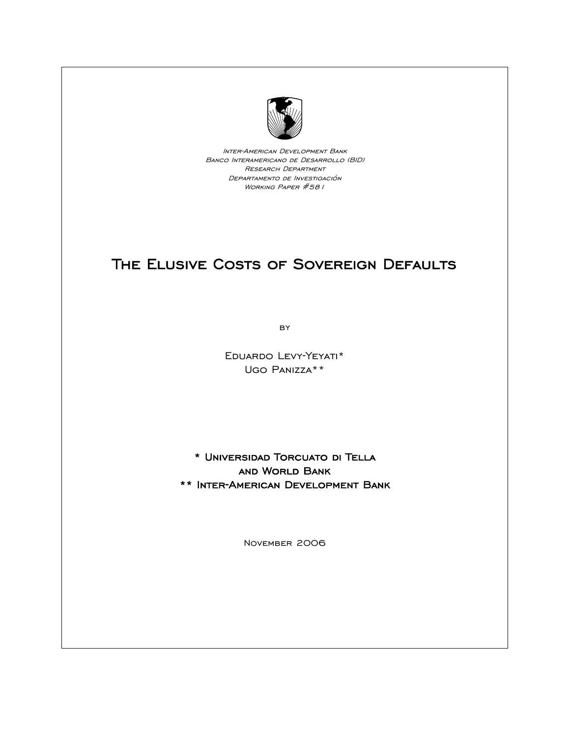

Inter-American Development Bank Banco Interamericano de Desarrollo (BID) Research Department Departamento de Investigación Working Paper #581

# THE ELUSIVE COSTS OF SOVEREIGN DEFAULTS

**BY** 

 Eduardo Levy-Yeyati\* Ugo Panizza\*\*

\* Universidad Torcuato di Tella and World Bank \*\* Inter-American Development Bank

November 2006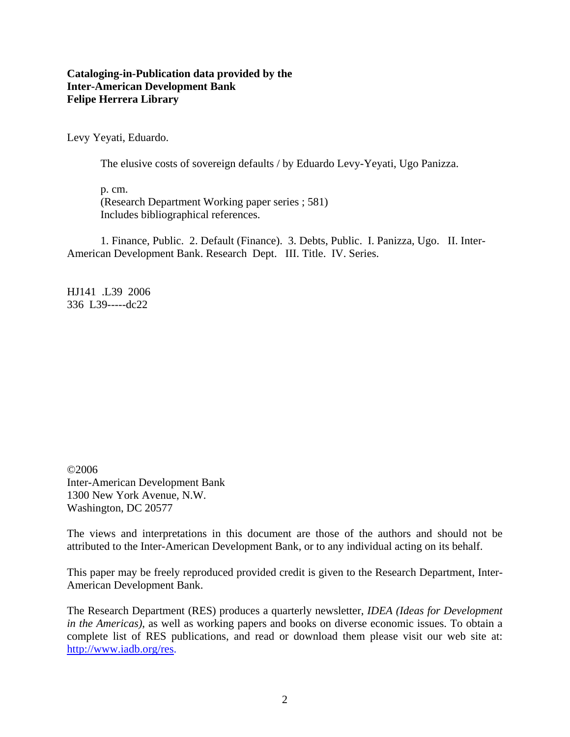### **Cataloging-in-Publication data provided by the Inter-American Development Bank Felipe Herrera Library**

Levy Yeyati, Eduardo.

The elusive costs of sovereign defaults / by Eduardo Levy-Yeyati, Ugo Panizza.

p. cm. (Research Department Working paper series ; 581) Includes bibliographical references.

1. Finance, Public. 2. Default (Finance). 3. Debts, Public. I. Panizza, Ugo. II. Inter-American Development Bank. Research Dept. III. Title. IV. Series.

HJ141 .L39 2006 336 L39-----dc22

©2006 Inter-American Development Bank 1300 New York Avenue, N.W. Washington, DC 20577

The views and interpretations in this document are those of the authors and should not be attributed to the Inter-American Development Bank, or to any individual acting on its behalf.

This paper may be freely reproduced provided credit is given to the Research Department, Inter-American Development Bank.

The Research Department (RES) produces a quarterly newsletter, *IDEA (Ideas for Development in the Americas)*, as well as working papers and books on diverse economic issues. To obtain a complete list of RES publications, and read or download them please visit our web site at: http://www.iadb.org/res.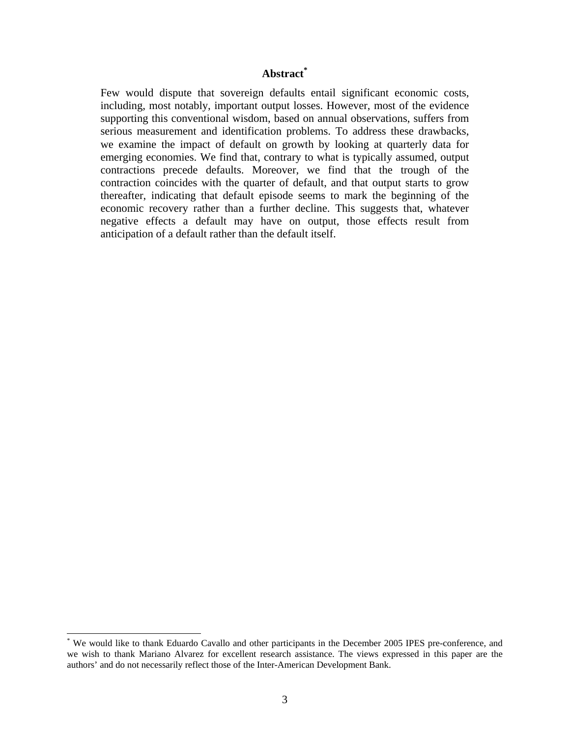## **Abstract\***

Few would dispute that sovereign defaults entail significant economic costs, including, most notably, important output losses. However, most of the evidence supporting this conventional wisdom, based on annual observations, suffers from serious measurement and identification problems. To address these drawbacks, we examine the impact of default on growth by looking at quarterly data for emerging economies. We find that, contrary to what is typically assumed, output contractions precede defaults. Moreover, we find that the trough of the contraction coincides with the quarter of default, and that output starts to grow thereafter, indicating that default episode seems to mark the beginning of the economic recovery rather than a further decline. This suggests that, whatever negative effects a default may have on output, those effects result from anticipation of a default rather than the default itself.

l

<sup>\*</sup> We would like to thank Eduardo Cavallo and other participants in the December 2005 IPES pre-conference, and we wish to thank Mariano Alvarez for excellent research assistance. The views expressed in this paper are the authors' and do not necessarily reflect those of the Inter-American Development Bank.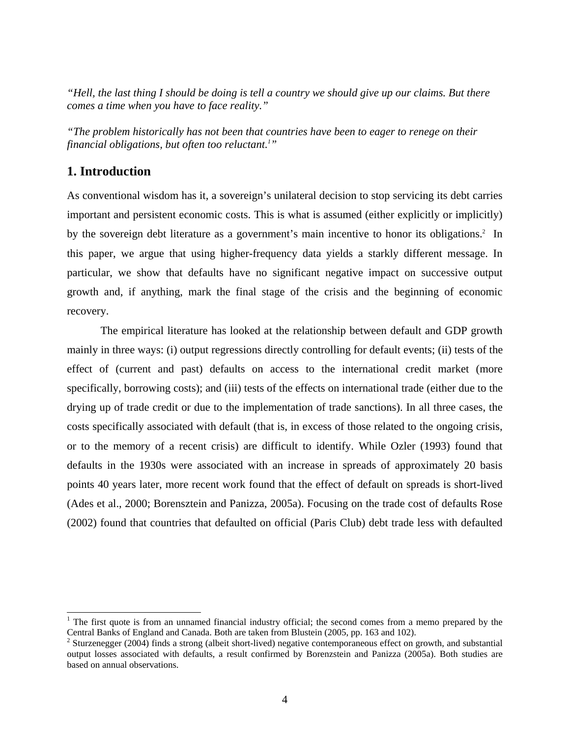*"Hell, the last thing I should be doing is tell a country we should give up our claims. But there comes a time when you have to face reality."* 

*"The problem historically has not been that countries have been to eager to renege on their financial obligations, but often too reluctant.1 "* 

## **1. Introduction**

l

As conventional wisdom has it, a sovereign's unilateral decision to stop servicing its debt carries important and persistent economic costs. This is what is assumed (either explicitly or implicitly) by the sovereign debt literature as a government's main incentive to honor its obligations.<sup>2</sup> In this paper, we argue that using higher-frequency data yields a starkly different message. In particular, we show that defaults have no significant negative impact on successive output growth and, if anything, mark the final stage of the crisis and the beginning of economic recovery.

The empirical literature has looked at the relationship between default and GDP growth mainly in three ways: (i) output regressions directly controlling for default events; (ii) tests of the effect of (current and past) defaults on access to the international credit market (more specifically, borrowing costs); and (iii) tests of the effects on international trade (either due to the drying up of trade credit or due to the implementation of trade sanctions). In all three cases, the costs specifically associated with default (that is, in excess of those related to the ongoing crisis, or to the memory of a recent crisis) are difficult to identify. While Ozler (1993) found that defaults in the 1930s were associated with an increase in spreads of approximately 20 basis points 40 years later, more recent work found that the effect of default on spreads is short-lived (Ades et al., 2000; Borensztein and Panizza, 2005a). Focusing on the trade cost of defaults Rose (2002) found that countries that defaulted on official (Paris Club) debt trade less with defaulted

<sup>&</sup>lt;sup>1</sup> The first quote is from an unnamed financial industry official; the second comes from a memo prepared by the Central Banks of England and Canada. Both are taken from Blustein (2005, pp. 163 and 102).

 $2$  Sturzenegger (2004) finds a strong (albeit short-lived) negative contemporaneous effect on growth, and substantial output losses associated with defaults, a result confirmed by Borenzstein and Panizza (2005a). Both studies are based on annual observations.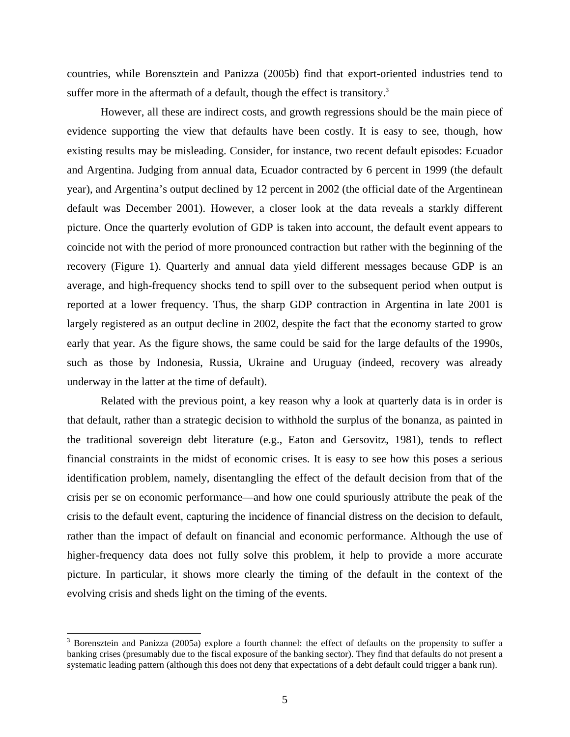countries, while Borensztein and Panizza (2005b) find that export-oriented industries tend to suffer more in the aftermath of a default, though the effect is transitory. $3$ 

However, all these are indirect costs, and growth regressions should be the main piece of evidence supporting the view that defaults have been costly. It is easy to see, though, how existing results may be misleading. Consider, for instance, two recent default episodes: Ecuador and Argentina. Judging from annual data, Ecuador contracted by 6 percent in 1999 (the default year), and Argentina's output declined by 12 percent in 2002 (the official date of the Argentinean default was December 2001). However, a closer look at the data reveals a starkly different picture. Once the quarterly evolution of GDP is taken into account, the default event appears to coincide not with the period of more pronounced contraction but rather with the beginning of the recovery (Figure 1). Quarterly and annual data yield different messages because GDP is an average, and high-frequency shocks tend to spill over to the subsequent period when output is reported at a lower frequency. Thus, the sharp GDP contraction in Argentina in late 2001 is largely registered as an output decline in 2002, despite the fact that the economy started to grow early that year. As the figure shows, the same could be said for the large defaults of the 1990s, such as those by Indonesia, Russia, Ukraine and Uruguay (indeed, recovery was already underway in the latter at the time of default).

Related with the previous point, a key reason why a look at quarterly data is in order is that default, rather than a strategic decision to withhold the surplus of the bonanza, as painted in the traditional sovereign debt literature (e.g., Eaton and Gersovitz, 1981), tends to reflect financial constraints in the midst of economic crises. It is easy to see how this poses a serious identification problem, namely, disentangling the effect of the default decision from that of the crisis per se on economic performance—and how one could spuriously attribute the peak of the crisis to the default event, capturing the incidence of financial distress on the decision to default, rather than the impact of default on financial and economic performance. Although the use of higher-frequency data does not fully solve this problem, it help to provide a more accurate picture. In particular, it shows more clearly the timing of the default in the context of the evolving crisis and sheds light on the timing of the events.

l

 $3$  Borensztein and Panizza (2005a) explore a fourth channel: the effect of defaults on the propensity to suffer a banking crises (presumably due to the fiscal exposure of the banking sector). They find that defaults do not present a systematic leading pattern (although this does not deny that expectations of a debt default could trigger a bank run).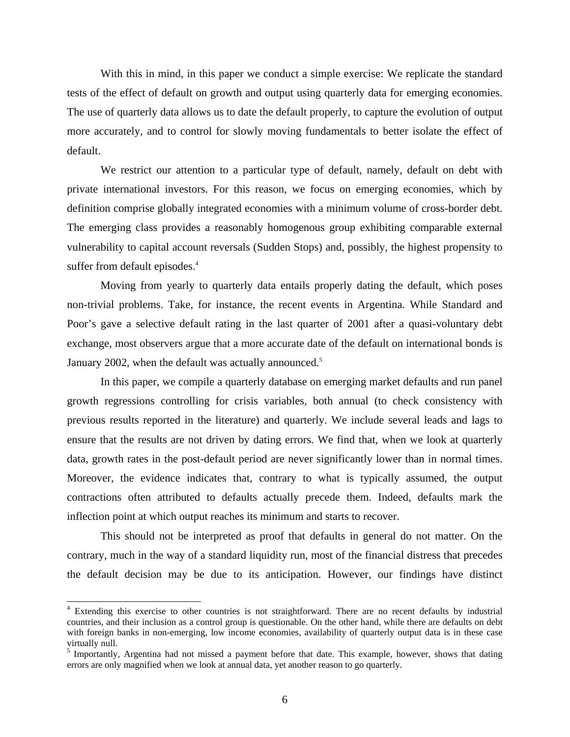With this in mind, in this paper we conduct a simple exercise: We replicate the standard tests of the effect of default on growth and output using quarterly data for emerging economies. The use of quarterly data allows us to date the default properly, to capture the evolution of output more accurately, and to control for slowly moving fundamentals to better isolate the effect of default.

We restrict our attention to a particular type of default, namely, default on debt with private international investors. For this reason, we focus on emerging economies, which by definition comprise globally integrated economies with a minimum volume of cross-border debt. The emerging class provides a reasonably homogenous group exhibiting comparable external vulnerability to capital account reversals (Sudden Stops) and, possibly, the highest propensity to suffer from default episodes.<sup>4</sup>

Moving from yearly to quarterly data entails properly dating the default, which poses non-trivial problems. Take, for instance, the recent events in Argentina. While Standard and Poor's gave a selective default rating in the last quarter of 2001 after a quasi-voluntary debt exchange, most observers argue that a more accurate date of the default on international bonds is January 2002, when the default was actually announced.<sup>5</sup>

In this paper, we compile a quarterly database on emerging market defaults and run panel growth regressions controlling for crisis variables, both annual (to check consistency with previous results reported in the literature) and quarterly. We include several leads and lags to ensure that the results are not driven by dating errors. We find that, when we look at quarterly data, growth rates in the post-default period are never significantly lower than in normal times. Moreover, the evidence indicates that, contrary to what is typically assumed, the output contractions often attributed to defaults actually precede them. Indeed, defaults mark the inflection point at which output reaches its minimum and starts to recover.

This should not be interpreted as proof that defaults in general do not matter. On the contrary, much in the way of a standard liquidity run, most of the financial distress that precedes the default decision may be due to its anticipation. However, our findings have distinct

<sup>&</sup>lt;sup>4</sup> Extending this exercise to other countries is not straightforward. There are no recent defaults by industrial countries, and their inclusion as a control group is questionable. On the other hand, while there are defaults on debt with foreign banks in non-emerging, low income economies, availability of quarterly output data is in these case virtually null.

<sup>&</sup>lt;sup>5</sup> Importantly, Argentina had not missed a payment before that date. This example, however, shows that dating errors are only magnified when we look at annual data, yet another reason to go quarterly.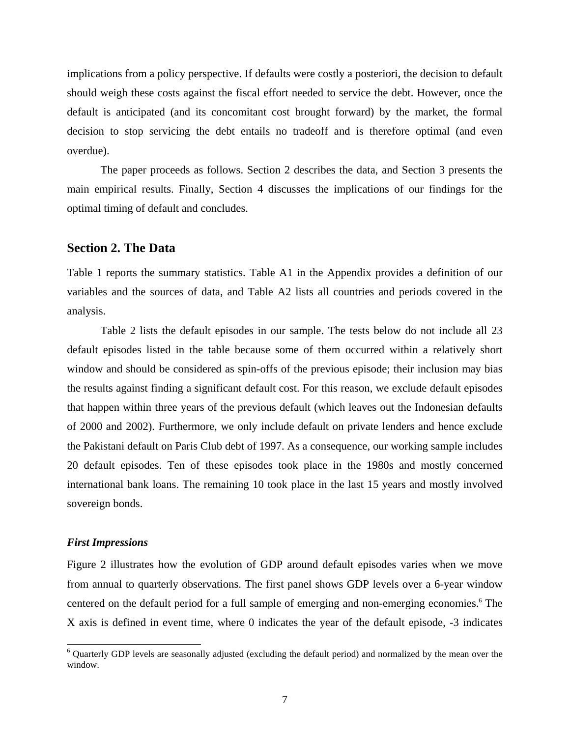implications from a policy perspective. If defaults were costly a posteriori, the decision to default should weigh these costs against the fiscal effort needed to service the debt. However, once the default is anticipated (and its concomitant cost brought forward) by the market, the formal decision to stop servicing the debt entails no tradeoff and is therefore optimal (and even overdue).

The paper proceeds as follows. Section 2 describes the data, and Section 3 presents the main empirical results. Finally, Section 4 discusses the implications of our findings for the optimal timing of default and concludes.

### **Section 2. The Data**

Table 1 reports the summary statistics. Table A1 in the Appendix provides a definition of our variables and the sources of data, and Table A2 lists all countries and periods covered in the analysis.

Table 2 lists the default episodes in our sample. The tests below do not include all 23 default episodes listed in the table because some of them occurred within a relatively short window and should be considered as spin-offs of the previous episode; their inclusion may bias the results against finding a significant default cost. For this reason, we exclude default episodes that happen within three years of the previous default (which leaves out the Indonesian defaults of 2000 and 2002). Furthermore, we only include default on private lenders and hence exclude the Pakistani default on Paris Club debt of 1997. As a consequence, our working sample includes 20 default episodes. Ten of these episodes took place in the 1980s and mostly concerned international bank loans. The remaining 10 took place in the last 15 years and mostly involved sovereign bonds.

### *First Impressions*

l

Figure 2 illustrates how the evolution of GDP around default episodes varies when we move from annual to quarterly observations. The first panel shows GDP levels over a 6-year window centered on the default period for a full sample of emerging and non-emerging economies.<sup>6</sup> The X axis is defined in event time, where 0 indicates the year of the default episode, -3 indicates

<sup>&</sup>lt;sup>6</sup> Quarterly GDP levels are seasonally adjusted (excluding the default period) and normalized by the mean over the window.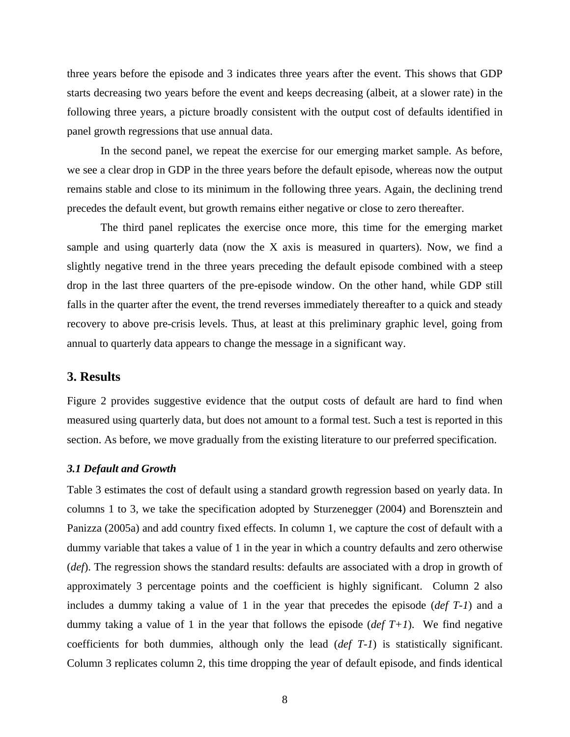three years before the episode and 3 indicates three years after the event. This shows that GDP starts decreasing two years before the event and keeps decreasing (albeit, at a slower rate) in the following three years, a picture broadly consistent with the output cost of defaults identified in panel growth regressions that use annual data.

In the second panel, we repeat the exercise for our emerging market sample. As before, we see a clear drop in GDP in the three years before the default episode, whereas now the output remains stable and close to its minimum in the following three years. Again, the declining trend precedes the default event, but growth remains either negative or close to zero thereafter.

The third panel replicates the exercise once more, this time for the emerging market sample and using quarterly data (now the X axis is measured in quarters). Now, we find a slightly negative trend in the three years preceding the default episode combined with a steep drop in the last three quarters of the pre-episode window. On the other hand, while GDP still falls in the quarter after the event, the trend reverses immediately thereafter to a quick and steady recovery to above pre-crisis levels. Thus, at least at this preliminary graphic level, going from annual to quarterly data appears to change the message in a significant way.

### **3. Results**

Figure 2 provides suggestive evidence that the output costs of default are hard to find when measured using quarterly data, but does not amount to a formal test. Such a test is reported in this section. As before, we move gradually from the existing literature to our preferred specification.

#### *3.1 Default and Growth*

Table 3 estimates the cost of default using a standard growth regression based on yearly data. In columns 1 to 3, we take the specification adopted by Sturzenegger (2004) and Borensztein and Panizza (2005a) and add country fixed effects. In column 1, we capture the cost of default with a dummy variable that takes a value of 1 in the year in which a country defaults and zero otherwise (*def*). The regression shows the standard results: defaults are associated with a drop in growth of approximately 3 percentage points and the coefficient is highly significant. Column 2 also includes a dummy taking a value of 1 in the year that precedes the episode (*def T-1*) and a dummy taking a value of 1 in the year that follows the episode  $\left(\frac{def}{f+1}\right)$ . We find negative coefficients for both dummies, although only the lead (*def T-1*) is statistically significant. Column 3 replicates column 2, this time dropping the year of default episode, and finds identical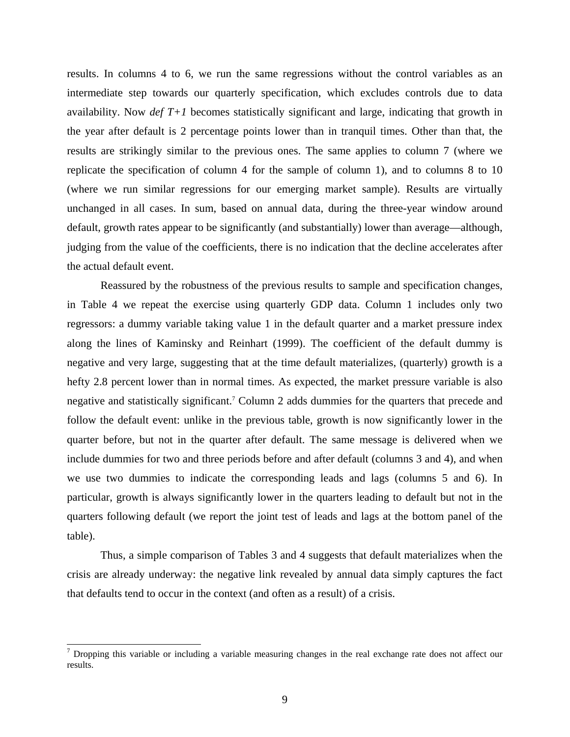results. In columns 4 to 6, we run the same regressions without the control variables as an intermediate step towards our quarterly specification, which excludes controls due to data availability. Now *def T+1* becomes statistically significant and large, indicating that growth in the year after default is 2 percentage points lower than in tranquil times. Other than that, the results are strikingly similar to the previous ones. The same applies to column 7 (where we replicate the specification of column 4 for the sample of column 1), and to columns 8 to 10 (where we run similar regressions for our emerging market sample). Results are virtually unchanged in all cases. In sum, based on annual data, during the three-year window around default, growth rates appear to be significantly (and substantially) lower than average—although, judging from the value of the coefficients, there is no indication that the decline accelerates after the actual default event.

Reassured by the robustness of the previous results to sample and specification changes, in Table 4 we repeat the exercise using quarterly GDP data. Column 1 includes only two regressors: a dummy variable taking value 1 in the default quarter and a market pressure index along the lines of Kaminsky and Reinhart (1999). The coefficient of the default dummy is negative and very large, suggesting that at the time default materializes, (quarterly) growth is a hefty 2.8 percent lower than in normal times. As expected, the market pressure variable is also negative and statistically significant.<sup>7</sup> Column 2 adds dummies for the quarters that precede and follow the default event: unlike in the previous table, growth is now significantly lower in the quarter before, but not in the quarter after default. The same message is delivered when we include dummies for two and three periods before and after default (columns 3 and 4), and when we use two dummies to indicate the corresponding leads and lags (columns 5 and 6). In particular, growth is always significantly lower in the quarters leading to default but not in the quarters following default (we report the joint test of leads and lags at the bottom panel of the table).

Thus, a simple comparison of Tables 3 and 4 suggests that default materializes when the crisis are already underway: the negative link revealed by annual data simply captures the fact that defaults tend to occur in the context (and often as a result) of a crisis.

l

 $<sup>7</sup>$  Dropping this variable or including a variable measuring changes in the real exchange rate does not affect our</sup> results.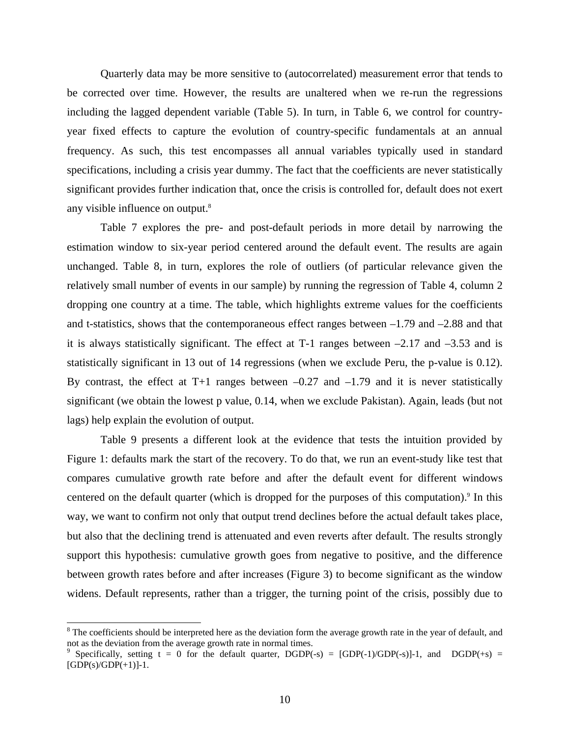Quarterly data may be more sensitive to (autocorrelated) measurement error that tends to be corrected over time. However, the results are unaltered when we re-run the regressions including the lagged dependent variable (Table 5). In turn, in Table 6, we control for countryyear fixed effects to capture the evolution of country-specific fundamentals at an annual frequency. As such, this test encompasses all annual variables typically used in standard specifications, including a crisis year dummy. The fact that the coefficients are never statistically significant provides further indication that, once the crisis is controlled for, default does not exert any visible influence on output.<sup>8</sup>

Table 7 explores the pre- and post-default periods in more detail by narrowing the estimation window to six-year period centered around the default event. The results are again unchanged. Table 8, in turn, explores the role of outliers (of particular relevance given the relatively small number of events in our sample) by running the regression of Table 4, column 2 dropping one country at a time. The table, which highlights extreme values for the coefficients and t-statistics, shows that the contemporaneous effect ranges between  $-1.79$  and  $-2.88$  and that it is always statistically significant. The effect at  $T-1$  ranges between  $-2.17$  and  $-3.53$  and is statistically significant in 13 out of 14 regressions (when we exclude Peru, the p-value is 0.12). By contrast, the effect at T+1 ranges between  $-0.27$  and  $-1.79$  and it is never statistically significant (we obtain the lowest p value, 0.14, when we exclude Pakistan). Again, leads (but not lags) help explain the evolution of output.

Table 9 presents a different look at the evidence that tests the intuition provided by Figure 1: defaults mark the start of the recovery. To do that, we run an event-study like test that compares cumulative growth rate before and after the default event for different windows centered on the default quarter (which is dropped for the purposes of this computation).<sup>9</sup> In this way, we want to confirm not only that output trend declines before the actual default takes place, but also that the declining trend is attenuated and even reverts after default. The results strongly support this hypothesis: cumulative growth goes from negative to positive, and the difference between growth rates before and after increases (Figure 3) to become significant as the window widens. Default represents, rather than a trigger, the turning point of the crisis, possibly due to

l

 $8$  The coefficients should be interpreted here as the deviation form the average growth rate in the year of default, and not as the deviation from the average growth rate in normal times.

<sup>&</sup>lt;sup>9</sup> Specifically, setting t = 0 for the default quarter, DGDP(-s) = [GDP(-1)/GDP(-s)]-1, and DGDP(+s) =  $[GDP(s)/GDP(+1)]-1.$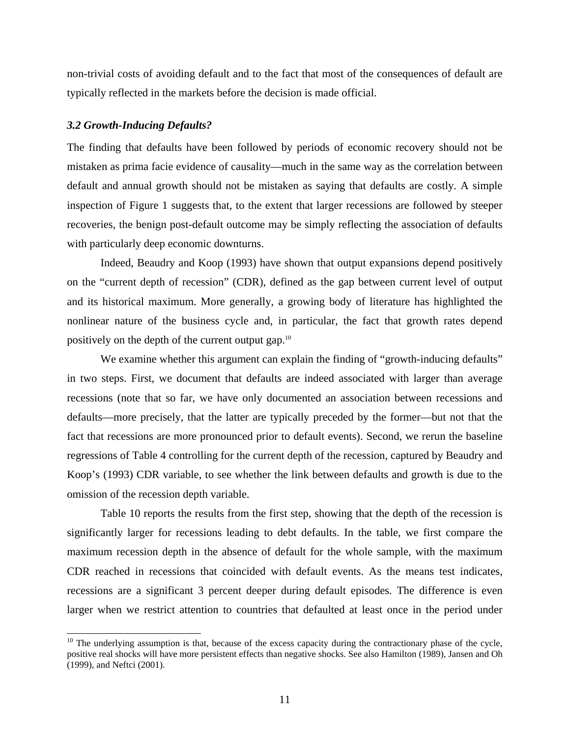non-trivial costs of avoiding default and to the fact that most of the consequences of default are typically reflected in the markets before the decision is made official.

### *3.2 Growth-Inducing Defaults?*

l

The finding that defaults have been followed by periods of economic recovery should not be mistaken as prima facie evidence of causality—much in the same way as the correlation between default and annual growth should not be mistaken as saying that defaults are costly. A simple inspection of Figure 1 suggests that, to the extent that larger recessions are followed by steeper recoveries, the benign post-default outcome may be simply reflecting the association of defaults with particularly deep economic downturns.

Indeed, Beaudry and Koop (1993) have shown that output expansions depend positively on the "current depth of recession" (CDR), defined as the gap between current level of output and its historical maximum. More generally, a growing body of literature has highlighted the nonlinear nature of the business cycle and, in particular, the fact that growth rates depend positively on the depth of the current output gap.10

We examine whether this argument can explain the finding of "growth-inducing defaults" in two steps. First, we document that defaults are indeed associated with larger than average recessions (note that so far, we have only documented an association between recessions and defaults—more precisely, that the latter are typically preceded by the former—but not that the fact that recessions are more pronounced prior to default events). Second, we rerun the baseline regressions of Table 4 controlling for the current depth of the recession, captured by Beaudry and Koop's (1993) CDR variable, to see whether the link between defaults and growth is due to the omission of the recession depth variable.

Table 10 reports the results from the first step, showing that the depth of the recession is significantly larger for recessions leading to debt defaults. In the table, we first compare the maximum recession depth in the absence of default for the whole sample, with the maximum CDR reached in recessions that coincided with default events. As the means test indicates, recessions are a significant 3 percent deeper during default episodes. The difference is even larger when we restrict attention to countries that defaulted at least once in the period under

 $10$  The underlying assumption is that, because of the excess capacity during the contractionary phase of the cycle, positive real shocks will have more persistent effects than negative shocks. See also Hamilton (1989), Jansen and Oh (1999), and Neftci (2001).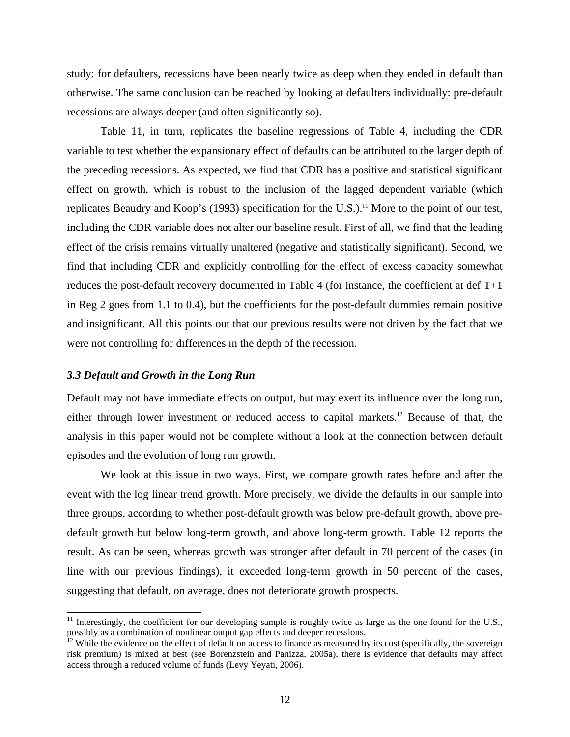study: for defaulters, recessions have been nearly twice as deep when they ended in default than otherwise. The same conclusion can be reached by looking at defaulters individually: pre-default recessions are always deeper (and often significantly so).

Table 11, in turn, replicates the baseline regressions of Table 4, including the CDR variable to test whether the expansionary effect of defaults can be attributed to the larger depth of the preceding recessions. As expected, we find that CDR has a positive and statistical significant effect on growth, which is robust to the inclusion of the lagged dependent variable (which replicates Beaudry and Koop's (1993) specification for the U.S. $)$ .<sup>11</sup> More to the point of our test, including the CDR variable does not alter our baseline result. First of all, we find that the leading effect of the crisis remains virtually unaltered (negative and statistically significant). Second, we find that including CDR and explicitly controlling for the effect of excess capacity somewhat reduces the post-default recovery documented in Table 4 (for instance, the coefficient at def T+1 in Reg 2 goes from 1.1 to 0.4), but the coefficients for the post-default dummies remain positive and insignificant. All this points out that our previous results were not driven by the fact that we were not controlling for differences in the depth of the recession.

#### *3.3 Default and Growth in the Long Run*

l

Default may not have immediate effects on output, but may exert its influence over the long run, either through lower investment or reduced access to capital markets.<sup>12</sup> Because of that, the analysis in this paper would not be complete without a look at the connection between default episodes and the evolution of long run growth.

We look at this issue in two ways. First, we compare growth rates before and after the event with the log linear trend growth. More precisely, we divide the defaults in our sample into three groups, according to whether post-default growth was below pre-default growth, above predefault growth but below long-term growth, and above long-term growth. Table 12 reports the result. As can be seen, whereas growth was stronger after default in 70 percent of the cases (in line with our previous findings), it exceeded long-term growth in 50 percent of the cases, suggesting that default, on average, does not deteriorate growth prospects.

 $11$  Interestingly, the coefficient for our developing sample is roughly twice as large as the one found for the U.S., possibly as a combination of nonlinear output gap effects and deeper recessions.

 $12$  While the evidence on the effect of default on access to finance as measured by its cost (specifically, the sovereign risk premium) is mixed at best (see Borenzstein and Panizza, 2005a), there is evidence that defaults may affect access through a reduced volume of funds (Levy Yeyati, 2006).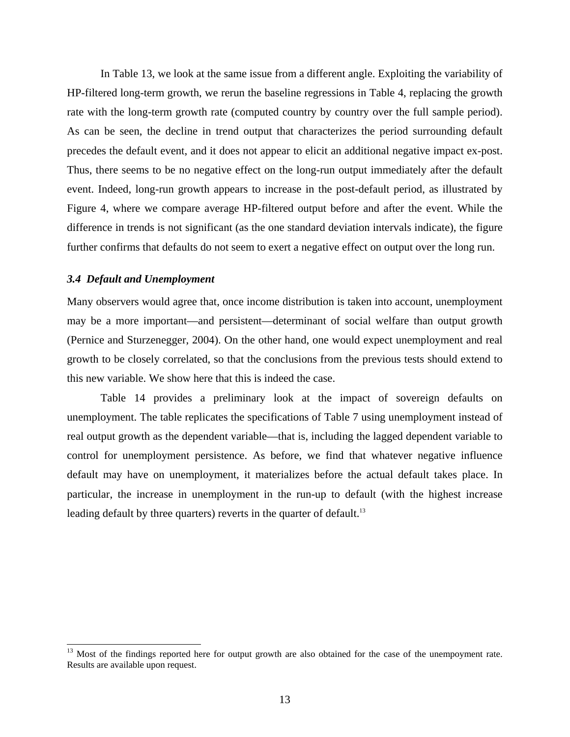In Table 13, we look at the same issue from a different angle. Exploiting the variability of HP-filtered long-term growth, we rerun the baseline regressions in Table 4, replacing the growth rate with the long-term growth rate (computed country by country over the full sample period). As can be seen, the decline in trend output that characterizes the period surrounding default precedes the default event, and it does not appear to elicit an additional negative impact ex-post. Thus, there seems to be no negative effect on the long-run output immediately after the default event. Indeed, long-run growth appears to increase in the post-default period, as illustrated by Figure 4, where we compare average HP-filtered output before and after the event. While the difference in trends is not significant (as the one standard deviation intervals indicate), the figure further confirms that defaults do not seem to exert a negative effect on output over the long run.

#### *3.4 Default and Unemployment*

l

Many observers would agree that, once income distribution is taken into account, unemployment may be a more important—and persistent—determinant of social welfare than output growth (Pernice and Sturzenegger, 2004). On the other hand, one would expect unemployment and real growth to be closely correlated, so that the conclusions from the previous tests should extend to this new variable. We show here that this is indeed the case.

Table 14 provides a preliminary look at the impact of sovereign defaults on unemployment. The table replicates the specifications of Table 7 using unemployment instead of real output growth as the dependent variable—that is, including the lagged dependent variable to control for unemployment persistence. As before, we find that whatever negative influence default may have on unemployment, it materializes before the actual default takes place. In particular, the increase in unemployment in the run-up to default (with the highest increase leading default by three quarters) reverts in the quarter of default.<sup>13</sup>

<sup>&</sup>lt;sup>13</sup> Most of the findings reported here for output growth are also obtained for the case of the unempoyment rate. Results are available upon request.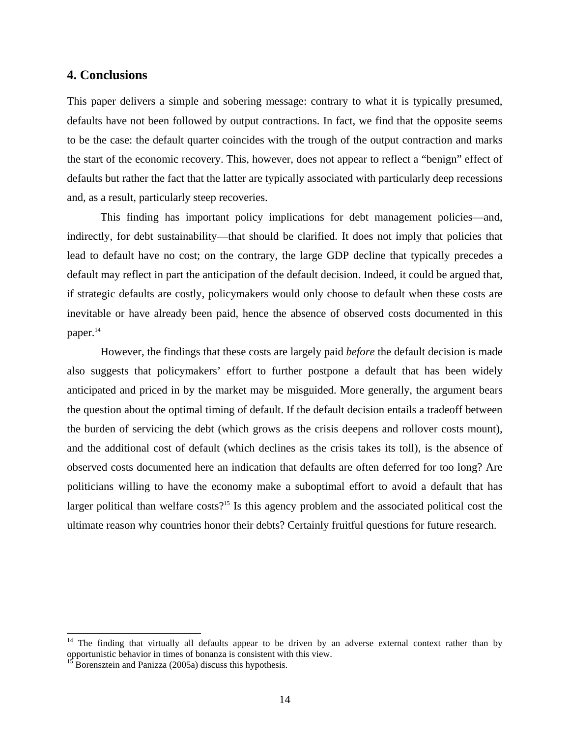### **4. Conclusions**

This paper delivers a simple and sobering message: contrary to what it is typically presumed, defaults have not been followed by output contractions. In fact, we find that the opposite seems to be the case: the default quarter coincides with the trough of the output contraction and marks the start of the economic recovery. This, however, does not appear to reflect a "benign" effect of defaults but rather the fact that the latter are typically associated with particularly deep recessions and, as a result, particularly steep recoveries.

This finding has important policy implications for debt management policies—and, indirectly, for debt sustainability—that should be clarified. It does not imply that policies that lead to default have no cost; on the contrary, the large GDP decline that typically precedes a default may reflect in part the anticipation of the default decision. Indeed, it could be argued that, if strategic defaults are costly, policymakers would only choose to default when these costs are inevitable or have already been paid, hence the absence of observed costs documented in this paper.<sup>14</sup>

However, the findings that these costs are largely paid *before* the default decision is made also suggests that policymakers' effort to further postpone a default that has been widely anticipated and priced in by the market may be misguided. More generally, the argument bears the question about the optimal timing of default. If the default decision entails a tradeoff between the burden of servicing the debt (which grows as the crisis deepens and rollover costs mount), and the additional cost of default (which declines as the crisis takes its toll), is the absence of observed costs documented here an indication that defaults are often deferred for too long? Are politicians willing to have the economy make a suboptimal effort to avoid a default that has larger political than welfare costs?<sup>15</sup> Is this agency problem and the associated political cost the ultimate reason why countries honor their debts? Certainly fruitful questions for future research.

l

<sup>&</sup>lt;sup>14</sup> The finding that virtually all defaults appear to be driven by an adverse external context rather than by opportunistic behavior in times of bonanza is consistent with this view.

<sup>15</sup> Borensztein and Panizza (2005a) discuss this hypothesis.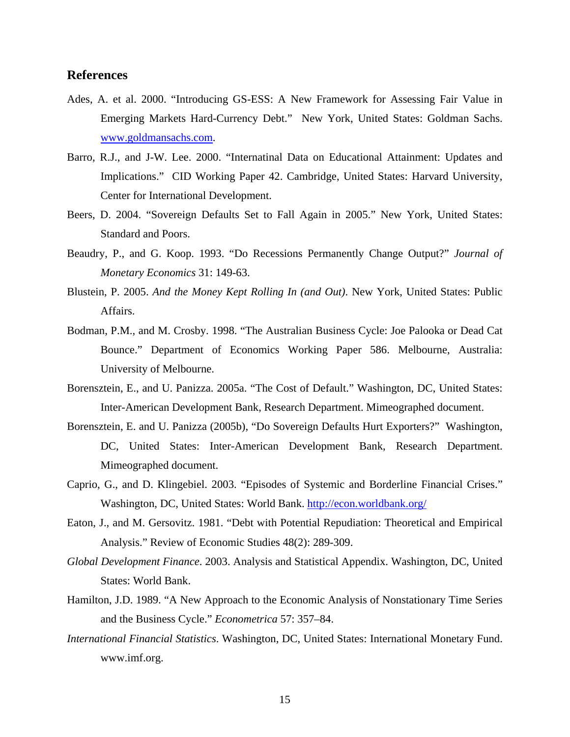### **References**

- Ades, A. et al. 2000. "Introducing GS-ESS: A New Framework for Assessing Fair Value in Emerging Markets Hard-Currency Debt." New York, United States: Goldman Sachs. www.goldmansachs.com.
- Barro, R.J., and J-W. Lee. 2000. "Internatinal Data on Educational Attainment: Updates and Implications." CID Working Paper 42. Cambridge, United States: Harvard University, Center for International Development.
- Beers, D. 2004. "Sovereign Defaults Set to Fall Again in 2005." New York, United States: Standard and Poors.
- Beaudry, P., and G. Koop. 1993. "Do Recessions Permanently Change Output?" *Journal of Monetary Economics* 31: 149-63.
- Blustein, P. 2005. *And the Money Kept Rolling In (and Out)*. New York, United States: Public Affairs.
- Bodman, P.M., and M. Crosby. 1998. "The Australian Business Cycle: Joe Palooka or Dead Cat Bounce." Department of Economics Working Paper 586. Melbourne, Australia: University of Melbourne.
- Borensztein, E., and U. Panizza. 2005a. "The Cost of Default." Washington, DC, United States: Inter-American Development Bank, Research Department. Mimeographed document.
- Borensztein, E. and U. Panizza (2005b), "Do Sovereign Defaults Hurt Exporters?" Washington, DC, United States: Inter-American Development Bank, Research Department. Mimeographed document.
- Caprio, G., and D. Klingebiel. 2003. "Episodes of Systemic and Borderline Financial Crises." Washington, DC, United States: World Bank. http://econ.worldbank.org/
- Eaton, J., and M. Gersovitz. 1981. "Debt with Potential Repudiation: Theoretical and Empirical Analysis." Review of Economic Studies 48(2): 289-309.
- *Global Development Finance*. 2003. Analysis and Statistical Appendix. Washington, DC, United States: World Bank.
- Hamilton, J.D. 1989. "A New Approach to the Economic Analysis of Nonstationary Time Series and the Business Cycle." *Econometrica* 57: 357–84.
- *International Financial Statistics*. Washington, DC, United States: International Monetary Fund. www.imf.org.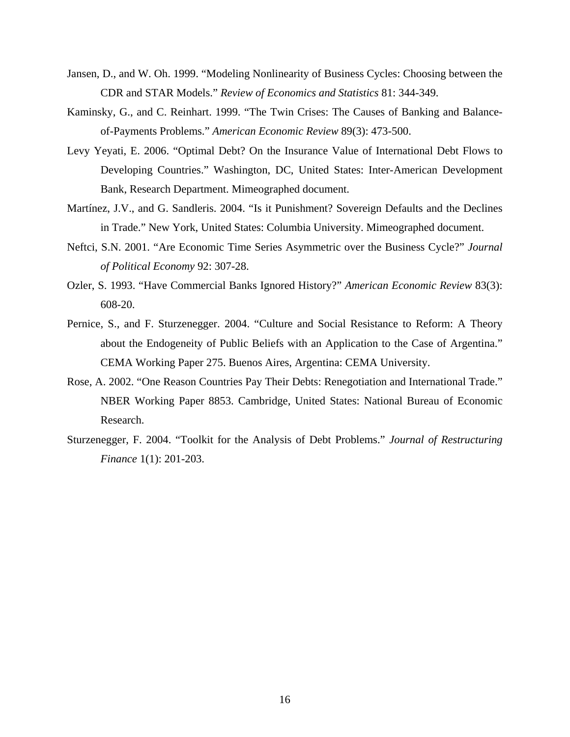- Jansen, D., and W. Oh. 1999. "Modeling Nonlinearity of Business Cycles: Choosing between the CDR and STAR Models." *Review of Economics and Statistics* 81: 344-349.
- Kaminsky, G., and C. Reinhart. 1999. "The Twin Crises: The Causes of Banking and Balanceof-Payments Problems." *American Economic Review* 89(3): 473-500.
- Levy Yeyati, E. 2006. "Optimal Debt? On the Insurance Value of International Debt Flows to Developing Countries." Washington, DC, United States: Inter-American Development Bank, Research Department. Mimeographed document.
- Martínez, J.V., and G. Sandleris. 2004. "Is it Punishment? Sovereign Defaults and the Declines in Trade." New York, United States: Columbia University. Mimeographed document.
- Neftci, S.N. 2001. "Are Economic Time Series Asymmetric over the Business Cycle?" *Journal of Political Economy* 92: 307-28.
- Ozler, S. 1993. "Have Commercial Banks Ignored History?" *American Economic Review* 83(3): 608-20.
- Pernice, S., and F. Sturzenegger. 2004. "Culture and Social Resistance to Reform: A Theory about the Endogeneity of Public Beliefs with an Application to the Case of Argentina." CEMA Working Paper 275. Buenos Aires, Argentina: CEMA University.
- Rose, A. 2002. "One Reason Countries Pay Their Debts: Renegotiation and International Trade." NBER Working Paper 8853. Cambridge, United States: National Bureau of Economic Research.
- Sturzenegger, F. 2004. "Toolkit for the Analysis of Debt Problems." *Journal of Restructuring Finance* 1(1): 201-203.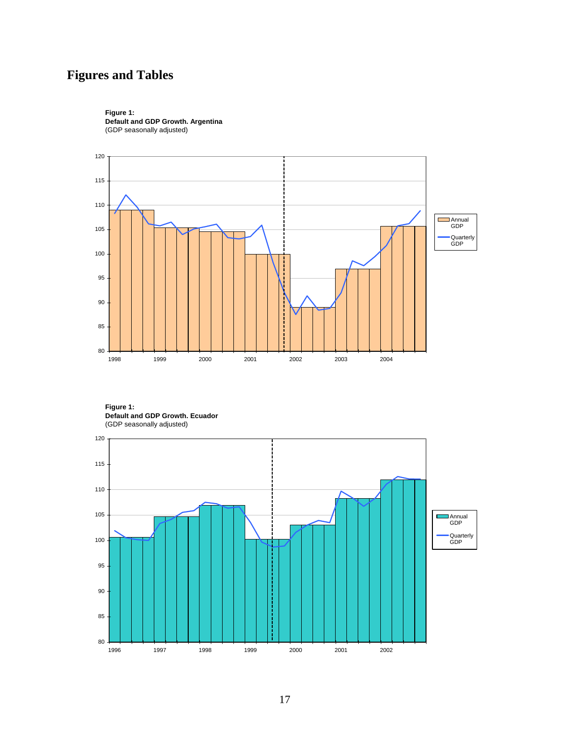# **Figures and Tables**

**Figure 1: Default and GDP Growth. Argentina** (GDP seasonally adjusted)



**Figure 1: Default and GDP Growth. Ecuador** (GDP seasonally adjusted)

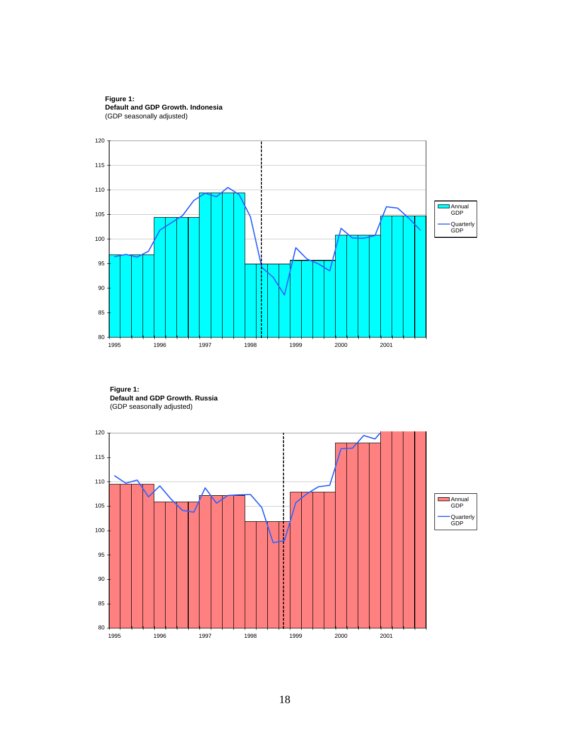



**Figure 1: Default and GDP Growth. Russia** (GDP seasonally adjusted)

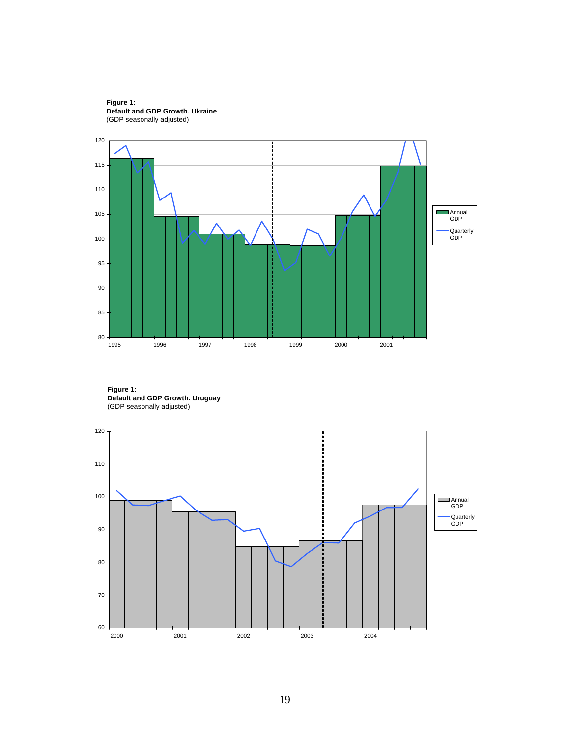



**Figure 1: Default and GDP Growth. Uruguay** (GDP seasonally adjusted)

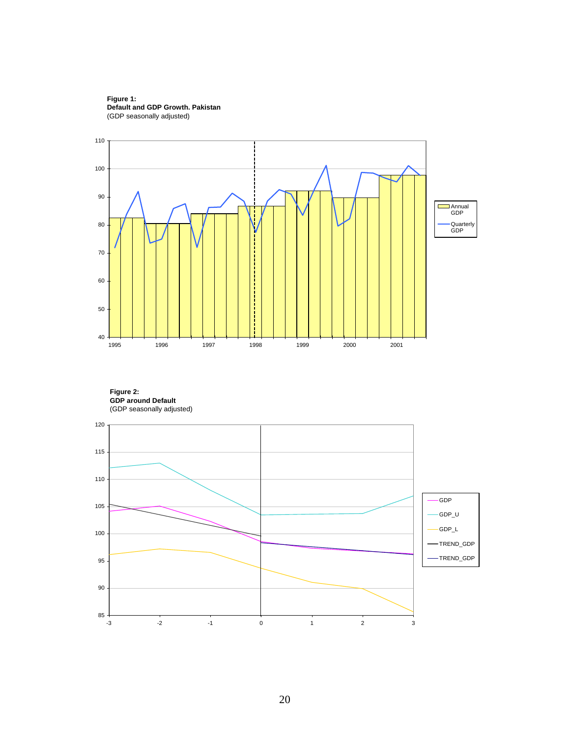

**Figure 1: Default and GDP Growth. Pakistan** (GDP seasonally adjusted)

**Figure 2: GDP around Default**

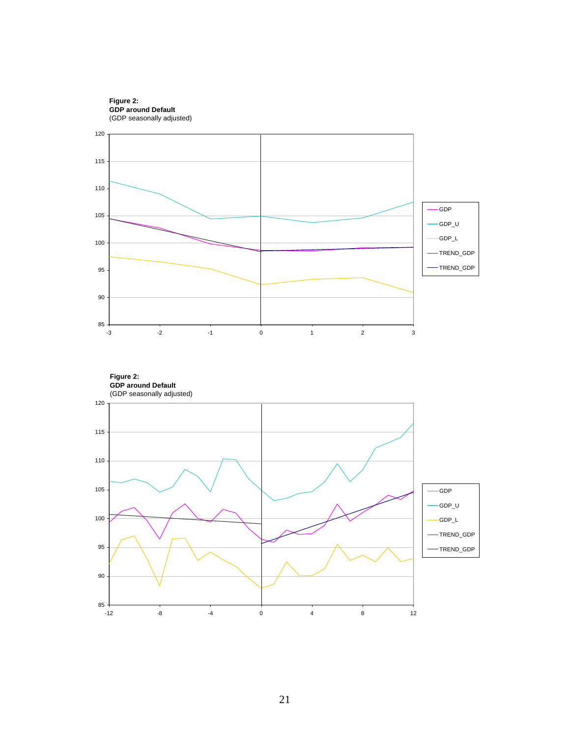

21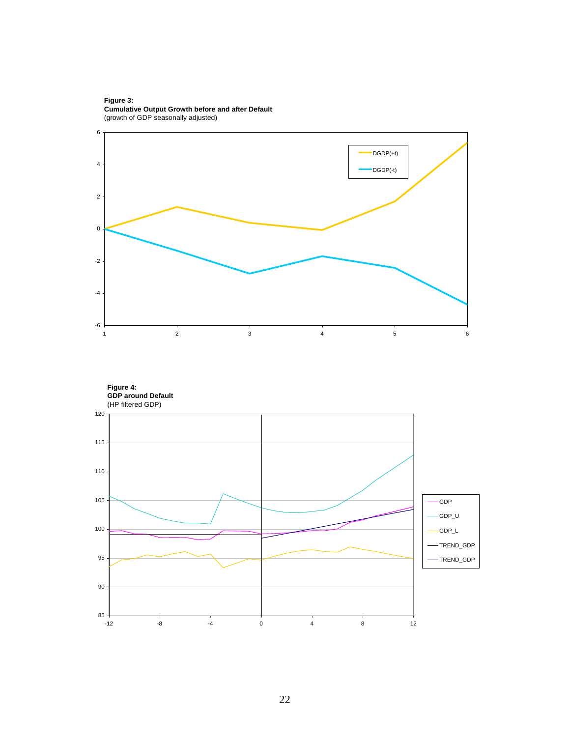

**Figure 3: Cumulative Output Growth before and after Default** (growth of GDP seasonally adjusted)



1 and the contract of the contract of the contract of the contract of the contract of the contract of the contract of the contract of the contract of the contract of the contract of the contract of the contract of the con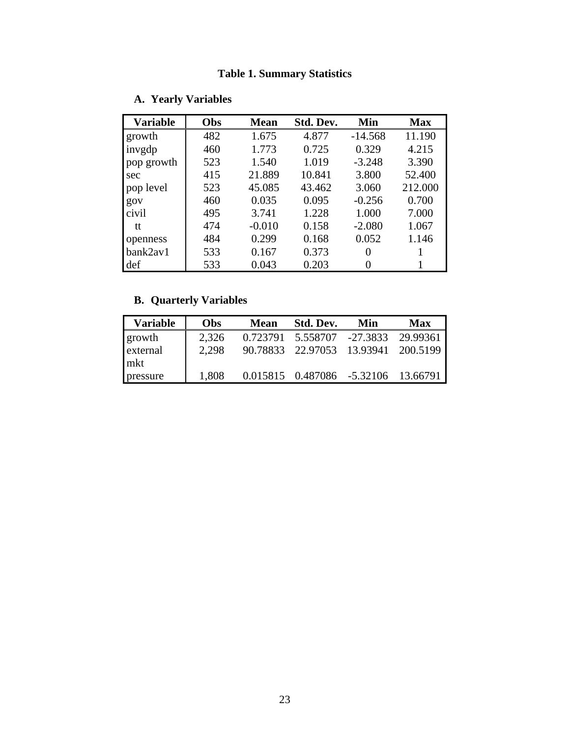## **Table 1. Summary Statistics**

| <b>Variable</b> | Obs | <b>Mean</b> | Std. Dev. | Min       | <b>Max</b> |
|-----------------|-----|-------------|-----------|-----------|------------|
| growth          | 482 | 1.675       | 4.877     | $-14.568$ | 11.190     |
| invgdp          | 460 | 1.773       | 0.725     | 0.329     | 4.215      |
| pop growth      | 523 | 1.540       | 1.019     | $-3.248$  | 3.390      |
| sec             | 415 | 21.889      | 10.841    | 3.800     | 52.400     |
| pop level       | 523 | 45.085      | 43.462    | 3.060     | 212.000    |
| gov             | 460 | 0.035       | 0.095     | $-0.256$  | 0.700      |
| civil           | 495 | 3.741       | 1.228     | 1.000     | 7.000      |
| tt              | 474 | $-0.010$    | 0.158     | $-2.080$  | 1.067      |
| openness        | 484 | 0.299       | 0.168     | 0.052     | 1.146      |
| bank2av1        | 533 | 0.167       | 0.373     | 0         |            |
| def             | 533 | 0.043       | 0.203     |           |            |

## **A. Yearly Variables**

## **B. Quarterly Variables**

| <b>Variable</b> | Obs   | Mean | Std. Dev.                           | Min | Max      |
|-----------------|-------|------|-------------------------------------|-----|----------|
| growth          | 2,326 |      | 0.723791 5.558707 -27.3833          |     | 29.99361 |
| external        | 2.298 |      | 90.78833 22.97053 13.93941 200.5199 |     |          |
| mkt             |       |      |                                     |     |          |
| pressure        | 1.808 |      | 0.015815  0.487086  -5.32106        |     | 13.66791 |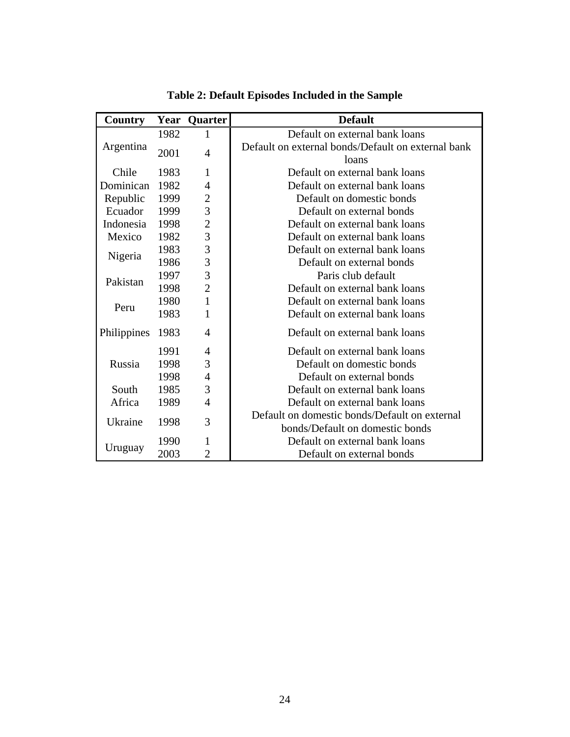| <b>Country</b>                     |                        | <b>Year Quarter</b>      | <b>Default</b>                                     |  |  |  |  |
|------------------------------------|------------------------|--------------------------|----------------------------------------------------|--|--|--|--|
|                                    | 1982                   | 1                        | Default on external bank loans                     |  |  |  |  |
| Argentina                          | 2001                   | $\overline{4}$           | Default on external bonds/Default on external bank |  |  |  |  |
|                                    |                        |                          | loans                                              |  |  |  |  |
| Chile                              | 1983                   | $\mathbf{1}$             | Default on external bank loans                     |  |  |  |  |
| Dominican                          | 1982                   | $\overline{\mathcal{A}}$ | Default on external bank loans                     |  |  |  |  |
| Republic                           | 1999                   | $\frac{2}{3}$            | Default on domestic bonds                          |  |  |  |  |
| Ecuador                            | 1999                   |                          | Default on external bonds                          |  |  |  |  |
| Indonesia                          | 1998                   | $\frac{2}{3}$            | Default on external bank loans                     |  |  |  |  |
| Mexico                             | 1982                   |                          | Default on external bank loans                     |  |  |  |  |
|                                    | 1983                   | $\overline{\mathbf{3}}$  | Default on external bank loans                     |  |  |  |  |
| Nigeria                            | 1986                   | $\overline{3}$           | Default on external bonds                          |  |  |  |  |
| $\overline{3}$<br>1997<br>Pakistan |                        |                          | Paris club default                                 |  |  |  |  |
|                                    | $\overline{2}$<br>1998 |                          | Default on external bank loans                     |  |  |  |  |
| Peru                               | 1980                   | $\mathbf{1}$             | Default on external bank loans                     |  |  |  |  |
|                                    | 1983                   | $\mathbf{1}$             | Default on external bank loans                     |  |  |  |  |
| Philippines                        | 1983                   | $\overline{4}$           | Default on external bank loans                     |  |  |  |  |
|                                    | 1991                   | 4                        | Default on external bank loans                     |  |  |  |  |
| Russia                             | 1998                   | 3                        | Default on domestic bonds                          |  |  |  |  |
|                                    | 1998                   | $\overline{4}$           | Default on external bonds                          |  |  |  |  |
| South                              | 1985                   | 3                        | Default on external bank loans                     |  |  |  |  |
| Africa                             | 1989                   | $\overline{4}$           | Default on external bank loans                     |  |  |  |  |
| Ukraine                            | 1998                   | 3                        | Default on domestic bonds/Default on external      |  |  |  |  |
|                                    |                        |                          | bonds/Default on domestic bonds                    |  |  |  |  |
|                                    | 1990                   | 1                        | Default on external bank loans                     |  |  |  |  |
| Uruguay                            | 2003                   | $\overline{2}$           | Default on external bonds                          |  |  |  |  |

**Table 2: Default Episodes Included in the Sample**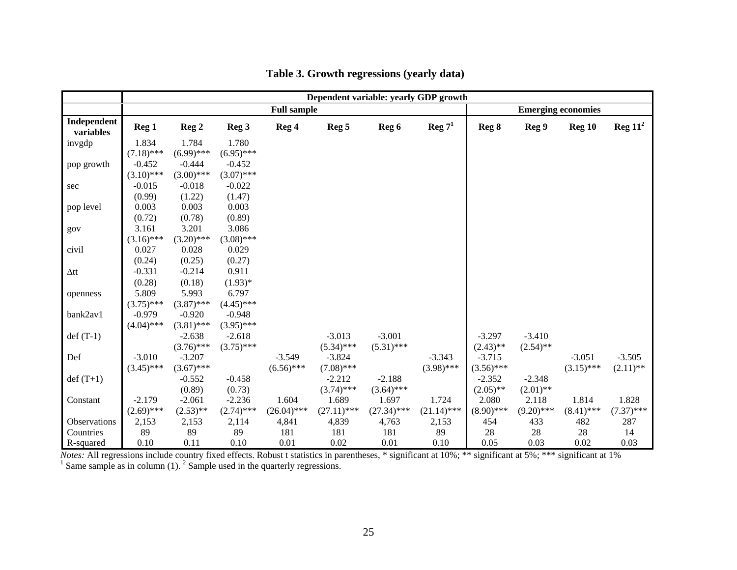|                          | Dependent variable: yearly GDP growth |                  |                  |                    |                  |               |                   |              |              |                           |                    |
|--------------------------|---------------------------------------|------------------|------------------|--------------------|------------------|---------------|-------------------|--------------|--------------|---------------------------|--------------------|
|                          |                                       |                  |                  | <b>Full sample</b> |                  |               |                   |              |              | <b>Emerging economies</b> |                    |
| Independent<br>variables | Reg <sub>1</sub>                      | Reg <sub>2</sub> | Reg <sub>3</sub> | Reg 4              | Reg <sub>5</sub> | Reg 6         | $\text{Reg } 7^1$ | Reg 8        | Reg 9        | Reg <sub>10</sub>         | $\text{Reg } 11^2$ |
| invgdp                   | 1.834                                 | 1.784            | 1.780            |                    |                  |               |                   |              |              |                           |                    |
|                          | $(7.18)$ ***                          | $(6.99)$ ***     | $(6.95)$ ***     |                    |                  |               |                   |              |              |                           |                    |
| pop growth               | $-0.452$                              | $-0.444$         | $-0.452$         |                    |                  |               |                   |              |              |                           |                    |
|                          | $(3.10)$ ***                          | $(3.00)$ ***     | $(3.07)$ ***     |                    |                  |               |                   |              |              |                           |                    |
| sec                      | $-0.015$                              | $-0.018$         | $-0.022$         |                    |                  |               |                   |              |              |                           |                    |
|                          | (0.99)                                | (1.22)           | (1.47)           |                    |                  |               |                   |              |              |                           |                    |
| pop level                | 0.003                                 | 0.003            | 0.003            |                    |                  |               |                   |              |              |                           |                    |
|                          | (0.72)                                | (0.78)           | (0.89)           |                    |                  |               |                   |              |              |                           |                    |
| gov                      | 3.161                                 | 3.201            | 3.086            |                    |                  |               |                   |              |              |                           |                    |
|                          | $(3.16)$ ***                          | $(3.20)$ ***     | $(3.08)$ ***     |                    |                  |               |                   |              |              |                           |                    |
| civil                    | 0.027                                 | 0.028            | 0.029            |                    |                  |               |                   |              |              |                           |                    |
|                          | (0.24)                                | (0.25)           | (0.27)           |                    |                  |               |                   |              |              |                           |                    |
| $\Delta$ tt              | $-0.331$                              | $-0.214$         | 0.911            |                    |                  |               |                   |              |              |                           |                    |
|                          | (0.28)                                | (0.18)           | $(1.93)*$        |                    |                  |               |                   |              |              |                           |                    |
| openness                 | 5.809                                 | 5.993            | 6.797            |                    |                  |               |                   |              |              |                           |                    |
|                          | $(3.75)$ ***                          | $(3.87)$ ***     | $(4.45)$ ***     |                    |                  |               |                   |              |              |                           |                    |
| bank2av1                 | $-0.979$                              | $-0.920$         | $-0.948$         |                    |                  |               |                   |              |              |                           |                    |
|                          | $(4.04)$ ***                          | $(3.81)$ ***     | $(3.95)$ ***     |                    |                  |               |                   |              |              |                           |                    |
| $def(T-1)$               |                                       | $-2.638$         | $-2.618$         |                    | $-3.013$         | $-3.001$      |                   | $-3.297$     | $-3.410$     |                           |                    |
|                          |                                       | $(3.76)$ ***     | $(3.75)$ ***     |                    | $(5.34)$ ***     | $(5.31)$ ***  |                   | $(2.43)$ **  | $(2.54)$ **  |                           |                    |
| Def                      | $-3.010$                              | $-3.207$         |                  | $-3.549$           | $-3.824$         |               | $-3.343$          | $-3.715$     |              | $-3.051$                  | $-3.505$           |
|                          | $(3.45)$ ***                          | $(3.67)$ ***     |                  | $(6.56)$ ***       | $(7.08)$ ***     |               | $(3.98)$ ***      | $(3.56)$ *** |              | $(3.15)$ ***              | $(2.11)$ **        |
| $def(T+1)$               |                                       | $-0.552$         | $-0.458$         |                    | $-2.212$         | $-2.188$      |                   | $-2.352$     | $-2.348$     |                           |                    |
|                          |                                       | (0.89)           | (0.73)           |                    | $(3.74)$ ***     | $(3.64)$ ***  |                   | $(2.05)$ **  | $(2.01)$ **  |                           |                    |
| Constant                 | $-2.179$                              | $-2.061$         | $-2.236$         | 1.604              | 1.689            | 1.697         | 1.724             | 2.080        | 2.118        | 1.814                     | 1.828              |
|                          | $(2.69)$ ***                          | $(2.53)$ **      | $(2.74)$ ***     | $(26.04)$ ***      | $(27.11)$ ***    | $(27.34)$ *** | $(21.14)$ ***     | $(8.90)$ *** | $(9.20)$ *** | $(8.41)$ ***              | $(7.37)$ ***       |
| Observations             | 2,153                                 | 2,153            | 2,114            | 4,841              | 4,839            | 4,763         | 2,153             | 454          | 433          | 482                       | 287                |
| Countries                | 89                                    | 89               | 89               | 181                | 181              | 181           | 89                | 28           | 28           | 28                        | 14                 |
| R-squared                | 0.10                                  | 0.11             | 0.10             | 0.01               | 0.02             | 0.01          | 0.10              | 0.05         | 0.03         | 0.02                      | 0.03               |

## **Table 3. Growth regressions (yearly data)**

*Notes:* All regressions include country fixed effects. Robust t statistics in parentheses, \* significant at 10%; \*\* significant at 5%; \*\*\* significant at 1% <sup>1</sup> Same sample as in column (1). <sup>2</sup> Sample used in the quarterly regressions.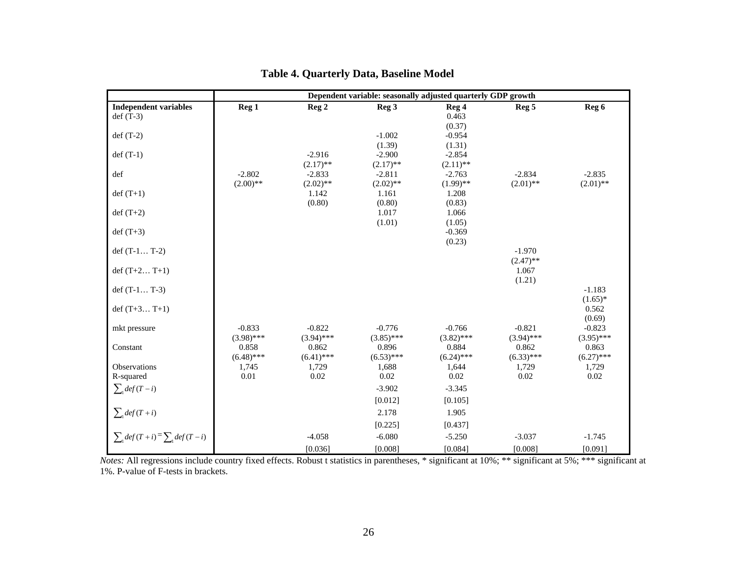|                                     | Dependent variable: seasonally adjusted quarterly GDP growth |                  |                    |                    |               |                        |  |  |
|-------------------------------------|--------------------------------------------------------------|------------------|--------------------|--------------------|---------------|------------------------|--|--|
| <b>Independent variables</b>        | Reg <sub>1</sub>                                             | Reg <sub>2</sub> | Reg <sub>3</sub>   | Reg 4              | Reg 5         | Reg 6                  |  |  |
| def $(T-3)$                         |                                                              |                  |                    | 0.463              |               |                        |  |  |
|                                     |                                                              |                  |                    | (0.37)             |               |                        |  |  |
| def $(T-2)$                         |                                                              |                  | $-1.002$<br>(1.39) | $-0.954$<br>(1.31) |               |                        |  |  |
| $def(T-1)$                          |                                                              | $-2.916$         | $-2.900$           | $-2.854$           |               |                        |  |  |
|                                     |                                                              | $(2.17)$ **      | $(2.17)$ **        | $(2.11)$ **        |               |                        |  |  |
| def                                 | $-2.802$                                                     | $-2.833$         | $-2.811$           | $-2.763$           | $-2.834$      | $-2.835$               |  |  |
|                                     | $(2.00)$ **                                                  | $(2.02)$ **      | $(2.02)$ **        | $(1.99)$ **        | $(2.01)$ **   | $(2.01)$ **            |  |  |
| $def(T+1)$                          |                                                              | 1.142            | 1.161              | 1.208              |               |                        |  |  |
|                                     |                                                              | (0.80)           | (0.80)             | (0.83)             |               |                        |  |  |
| $def(T+2)$                          |                                                              |                  | 1.017<br>(1.01)    | 1.066<br>(1.05)    |               |                        |  |  |
| $def(T+3)$                          |                                                              |                  |                    | $-0.369$           |               |                        |  |  |
|                                     |                                                              |                  |                    | (0.23)             |               |                        |  |  |
| def $(T-1 T-2)$                     |                                                              |                  |                    |                    | $-1.970$      |                        |  |  |
|                                     |                                                              |                  |                    |                    | $(2.47)$ **   |                        |  |  |
| def $(T+2 T+1)$                     |                                                              |                  |                    |                    | 1.067         |                        |  |  |
|                                     |                                                              |                  |                    |                    | (1.21)        |                        |  |  |
| def $(T-1 T-3)$                     |                                                              |                  |                    |                    |               | $-1.183$<br>$(1.65)^*$ |  |  |
| def $(T+3 T+1)$                     |                                                              |                  |                    |                    |               | 0.562                  |  |  |
|                                     |                                                              |                  |                    |                    |               | (0.69)                 |  |  |
| mkt pressure                        | $-0.833$                                                     | $-0.822$         | $-0.776$           | $-0.766$           | $-0.821$      | $-0.823$               |  |  |
|                                     | $(3.98)$ ***                                                 | $(3.94)$ ***     | $(3.85)$ ***       | $(3.82)$ ***       | $(3.94)$ ***  | $(3.95)$ ***           |  |  |
| Constant                            | 0.858                                                        | 0.862            | 0.896              | 0.884              | 0.862         | 0.863                  |  |  |
|                                     | $(6.48)$ ***                                                 | $(6.41)$ ***     | $(6.53)$ ***       | $(6.24)$ ***       | $(6.33)$ ***  | $(6.27)$ ***           |  |  |
| Observations<br>R-squared           | 1,745<br>0.01                                                | 1,729<br>0.02    | 1,688<br>0.02      | 1,644<br>0.02      | 1,729<br>0.02 | 1,729<br>0.02          |  |  |
|                                     |                                                              |                  |                    |                    |               |                        |  |  |
| $\sum_i def(T - i)$                 |                                                              |                  | $-3.902$           | $-3.345$           |               |                        |  |  |
|                                     |                                                              |                  | [0.012]            | [0.105]            |               |                        |  |  |
| $\sum_i def(T+i)$                   |                                                              |                  | 2.178              | 1.905              |               |                        |  |  |
|                                     |                                                              |                  | [0.225]            | [0.437]            |               |                        |  |  |
| $\sum_i def(T+i) = \sum_i def(T-i)$ |                                                              | $-4.058$         | $-6.080$           | $-5.250$           | $-3.037$      | $-1.745$               |  |  |
|                                     |                                                              | [0.036]          | [0.008]            | [0.084]            | [0.008]       | [0.091]                |  |  |

### **Table 4. Quarterly Data, Baseline Model**

*Notes:* All regressions include country fixed effects. Robust t statistics in parentheses, \* significant at 10%; \*\* significant at 5%; \*\*\* significant at 1%. P-value of F-tests in brackets.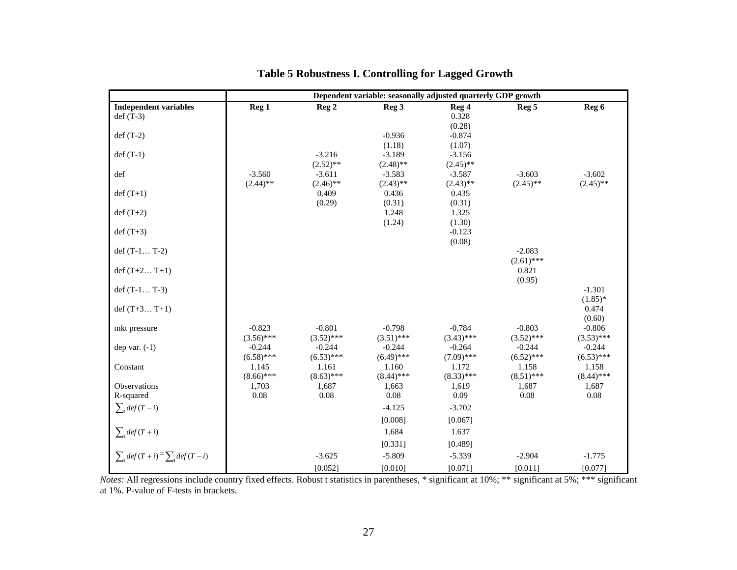|                                     | Dependent variable: seasonally adjusted quarterly GDP growth |                      |                  |                    |                          |                    |  |  |  |
|-------------------------------------|--------------------------------------------------------------|----------------------|------------------|--------------------|--------------------------|--------------------|--|--|--|
| <b>Independent variables</b>        | Reg <sub>1</sub>                                             | Reg <sub>2</sub>     | Reg <sub>3</sub> | Reg 4              | Reg <sub>5</sub>         | Reg 6              |  |  |  |
| $def(T-3)$                          |                                                              |                      |                  | 0.328              |                          |                    |  |  |  |
| $def(T-2)$                          |                                                              |                      | $-0.936$         | (0.28)<br>$-0.874$ |                          |                    |  |  |  |
|                                     |                                                              |                      | (1.18)           | (1.07)             |                          |                    |  |  |  |
| $def(T-1)$                          |                                                              | $-3.216$             | $-3.189$         | $-3.156$           |                          |                    |  |  |  |
|                                     |                                                              | $(2.52)$ **          | $(2.48)$ **      | $(2.45)$ **        |                          |                    |  |  |  |
| def                                 | $-3.560$                                                     | $-3.611$             | $-3.583$         | $-3.587$           | $-3.603$                 | $-3.602$           |  |  |  |
| $def(T+1)$                          | $(2.44)$ **                                                  | $(2.46)$ **<br>0.409 | $(2.43)$ **      | $(2.43)$ **        | $(2.45)$ **              | $(2.45)$ **        |  |  |  |
|                                     |                                                              | (0.29)               | 0.436<br>(0.31)  | 0.435<br>(0.31)    |                          |                    |  |  |  |
| $def(T+2)$                          |                                                              |                      | 1.248            | 1.325              |                          |                    |  |  |  |
|                                     |                                                              |                      | (1.24)           | (1.30)             |                          |                    |  |  |  |
| $def(T+3)$                          |                                                              |                      |                  | $-0.123$           |                          |                    |  |  |  |
|                                     |                                                              |                      |                  | (0.08)             |                          |                    |  |  |  |
| def $(T-1T-2)$                      |                                                              |                      |                  |                    | $-2.083$<br>$(2.61)$ *** |                    |  |  |  |
| def $(T+2 T+1)$                     |                                                              |                      |                  |                    | 0.821                    |                    |  |  |  |
|                                     |                                                              |                      |                  |                    | (0.95)                   |                    |  |  |  |
| def $(T-1T-3)$                      |                                                              |                      |                  |                    |                          | $-1.301$           |  |  |  |
|                                     |                                                              |                      |                  |                    |                          | $(1.85)^*$         |  |  |  |
| def $(T+3 T+1)$                     |                                                              |                      |                  |                    |                          | 0.474              |  |  |  |
| mkt pressure                        | $-0.823$                                                     | $-0.801$             | $-0.798$         | $-0.784$           | $-0.803$                 | (0.60)<br>$-0.806$ |  |  |  |
|                                     | $(3.56)$ ***                                                 | $(3.52)$ ***         | $(3.51)$ ***     | $(3.43)$ ***       | $(3.52)$ ***             | $(3.53)$ ***       |  |  |  |
| dep var. $(-1)$                     | $-0.244$                                                     | $-0.244$             | $-0.244$         | $-0.264$           | $-0.244$                 | $-0.244$           |  |  |  |
|                                     | $(6.58)$ ***                                                 | $(6.53)$ ***         | $(6.49)$ ***     | $(7.09)$ ***       | $(6.52)$ ***             | $(6.53)$ ***       |  |  |  |
| Constant                            | 1.145                                                        | 1.161                | 1.160            | 1.172              | 1.158                    | 1.158              |  |  |  |
|                                     | $(8.66)$ ***                                                 | $(8.63)$ ***         | $(8.44)$ ***     | $(8.33)$ ***       | $(8.51)$ ***             | $(8.44)$ ***       |  |  |  |
| Observations<br>R-squared           | 1,703<br>0.08                                                | 1,687<br>0.08        | 1,663<br>0.08    | 1,619<br>0.09      | 1,687<br>0.08            | 1,687<br>0.08      |  |  |  |
|                                     |                                                              |                      | $-4.125$         | $-3.702$           |                          |                    |  |  |  |
| $\sum_i def(T - i)$                 |                                                              |                      |                  |                    |                          |                    |  |  |  |
|                                     |                                                              |                      | [0.008]          | [0.067]            |                          |                    |  |  |  |
| $\sum_i def(T+i)$                   |                                                              |                      | 1.684            | 1.637              |                          |                    |  |  |  |
|                                     |                                                              |                      | [0.331]          | [0.489]            |                          |                    |  |  |  |
| $\sum_i def(T+i) = \sum_i def(T-i)$ |                                                              | $-3.625$             | $-5.809$         | $-5.339$           | $-2.904$                 | $-1.775$           |  |  |  |
|                                     |                                                              | [0.052]              | [0.010]          | [0.071]            | [0.011]                  | [0.077]            |  |  |  |

## **Table 5 Robustness I. Controlling for Lagged Growth**

*Notes:* All regressions include country fixed effects. Robust t statistics in parentheses, \* significant at 10%; \*\* significant at 5%; \*\*\* significant at 1%. P-value of F-tests in brackets.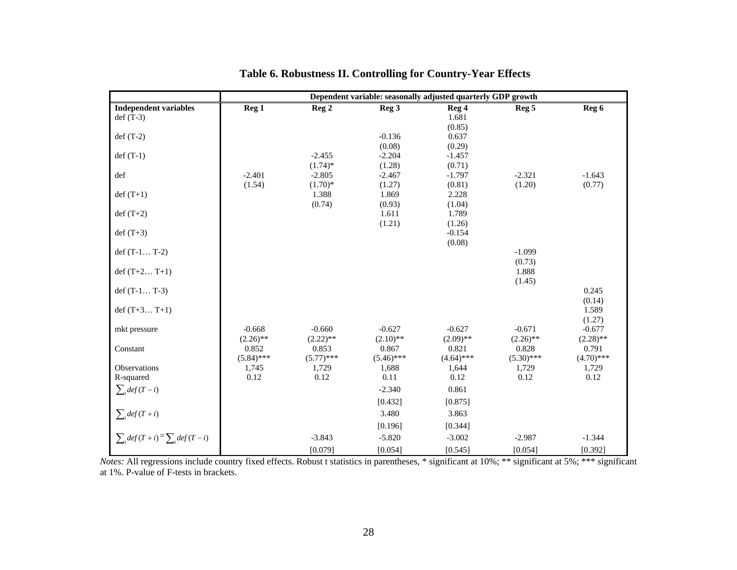|                                             |                         |                         | Dependent variable: seasonally adjusted quarterly GDP growth |                          |                         |                         |
|---------------------------------------------|-------------------------|-------------------------|--------------------------------------------------------------|--------------------------|-------------------------|-------------------------|
| <b>Independent variables</b><br>$def(T-3)$  | Reg <sub>1</sub>        | Reg <sub>2</sub>        | Reg <sub>3</sub>                                             | Reg 4<br>1.681<br>(0.85) | Reg <sub>5</sub>        | Reg 6                   |
| $def(T-2)$                                  |                         |                         | $-0.136$<br>(0.08)                                           | 0.637<br>(0.29)          |                         |                         |
| $def(T-1)$                                  |                         | $-2.455$<br>$(1.74)$ *  | $-2.204$<br>(1.28)                                           | $-1.457$<br>(0.71)       |                         |                         |
| def                                         | $-2.401$<br>(1.54)      | $-2.805$<br>$(1.70)*$   | $-2.467$<br>(1.27)                                           | $-1.797$<br>(0.81)       | $-2.321$<br>(1.20)      | $-1.643$<br>(0.77)      |
| $def(T+1)$                                  |                         | 1.388<br>(0.74)         | 1.869<br>(0.93)                                              | 2.228<br>(1.04)          |                         |                         |
| $def(T+2)$                                  |                         |                         | 1.611<br>(1.21)                                              | 1.789<br>(1.26)          |                         |                         |
| $def(T+3)$                                  |                         |                         |                                                              | $-0.154$<br>(0.08)       |                         |                         |
| def $(T-1T-2)$                              |                         |                         |                                                              |                          | $-1.099$<br>(0.73)      |                         |
| def $(T+2 T+1)$                             |                         |                         |                                                              |                          | 1.888<br>(1.45)         |                         |
| def $(T-1T-3)$                              |                         |                         |                                                              |                          |                         | 0.245<br>(0.14)         |
| def $(T+3 T+1)$                             |                         |                         |                                                              |                          |                         | 1.589<br>(1.27)         |
| mkt pressure                                | $-0.668$<br>$(2.26)$ ** | $-0.660$<br>$(2.22)$ ** | $-0.627$<br>$(2.10)$ **                                      | $-0.627$<br>$(2.09)$ **  | $-0.671$<br>$(2.26)$ ** | $-0.677$<br>$(2.28)$ ** |
| Constant                                    | 0.852<br>$(5.84)$ ***   | 0.853<br>$(5.77)$ ***   | 0.867<br>$(5.46)$ ***                                        | 0.821<br>$(4.64)$ ***    | 0.828<br>$(5.30)$ ***   | 0.791<br>$(4.70)$ ***   |
| Observations<br>R-squared                   | 1,745<br>0.12           | 1,729<br>0.12           | 1,688<br>0.11                                                | 1,644<br>0.12            | 1,729<br>0.12           | 1,729<br>0.12           |
| $\sum_i def(T - i)$                         |                         |                         | $-2.340$                                                     | 0.861                    |                         |                         |
| $\sum_i def(T+i)$                           |                         |                         | [0.432]<br>3.480                                             | [0.875]<br>3.863         |                         |                         |
|                                             |                         |                         | [0.196]                                                      | [0.344]                  |                         |                         |
| $\sum_{i} def(T + i) = \sum_{i} def(T - i)$ |                         | $-3.843$                | $-5.820$                                                     | $-3.002$                 | $-2.987$                | $-1.344$                |
|                                             |                         | [0.079]                 | [0.054]                                                      | [0.545]                  | [0.054]                 | [0.392]                 |

## **Table 6. Robustness II. Controlling for Country-Year Effects**

*Notes:* All regressions include country fixed effects. Robust t statistics in parentheses, \* significant at 10%; \*\* significant at 5%; \*\*\* significant at 1%. P-value of F-tests in brackets.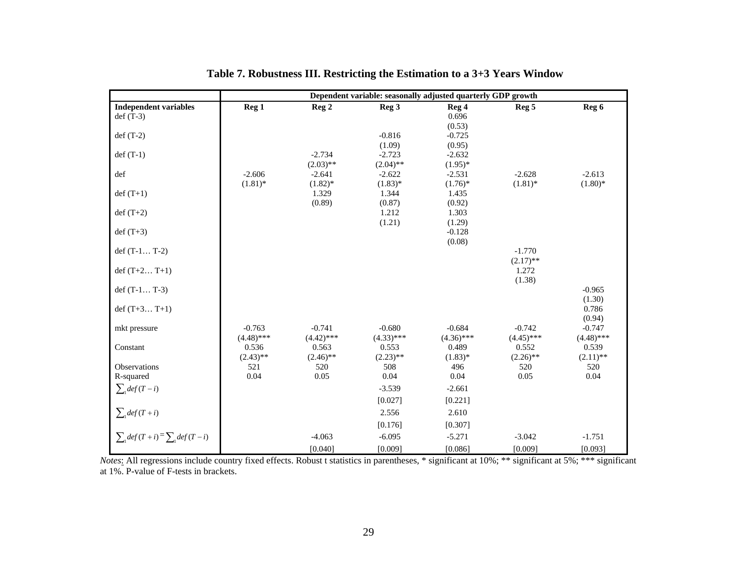|                                            | Dependent variable: seasonally adjusted quarterly GDP growth |                          |                          |                              |                          |                          |  |  |  |  |
|--------------------------------------------|--------------------------------------------------------------|--------------------------|--------------------------|------------------------------|--------------------------|--------------------------|--|--|--|--|
| <b>Independent variables</b><br>$def(T-3)$ | Reg <sub>1</sub>                                             | Reg <sub>2</sub>         | Reg <sub>3</sub>         | Reg 4<br>0.696               | Reg <sub>5</sub>         | Reg 6                    |  |  |  |  |
| $def(T-2)$                                 |                                                              |                          | $-0.816$<br>(1.09)       | (0.53)<br>$-0.725$<br>(0.95) |                          |                          |  |  |  |  |
| $def(T-1)$                                 |                                                              | $-2.734$<br>$(2.03)$ **  | $-2.723$<br>$(2.04)$ **  | $-2.632$<br>$(1.95)^*$       |                          |                          |  |  |  |  |
| def                                        | $-2.606$<br>$(1.81)$ *                                       | $-2.641$<br>$(1.82)$ *   | $-2.622$<br>$(1.83)*$    | $-2.531$<br>$(1.76)$ *       | $-2.628$<br>$(1.81)$ *   | $-2.613$<br>$(1.80)$ *   |  |  |  |  |
| $def(T+1)$                                 |                                                              | 1.329<br>(0.89)          | 1.344<br>(0.87)          | 1.435<br>(0.92)              |                          |                          |  |  |  |  |
| $def(T+2)$                                 |                                                              |                          | 1.212<br>(1.21)          | 1.303<br>(1.29)              |                          |                          |  |  |  |  |
| $def(T+3)$                                 |                                                              |                          |                          | $-0.128$<br>(0.08)           |                          |                          |  |  |  |  |
| def $(T-1T-2)$                             |                                                              |                          |                          |                              | $-1.770$<br>$(2.17)$ **  |                          |  |  |  |  |
| def $(T+2 T+1)$                            |                                                              |                          |                          |                              | 1.272<br>(1.38)          |                          |  |  |  |  |
| def $(T-1T-3)$                             |                                                              |                          |                          |                              |                          | $-0.965$<br>(1.30)       |  |  |  |  |
| def $(T+3 T+1)$                            |                                                              |                          |                          |                              |                          | 0.786<br>(0.94)          |  |  |  |  |
| mkt pressure                               | $-0.763$<br>$(4.48)$ ***                                     | $-0.741$<br>$(4.42)$ *** | $-0.680$<br>$(4.33)$ *** | $-0.684$<br>$(4.36)$ ***     | $-0.742$<br>$(4.45)$ *** | $-0.747$<br>$(4.48)$ *** |  |  |  |  |
| Constant                                   | 0.536<br>$(2.43)$ **                                         | 0.563<br>$(2.46)$ **     | 0.553<br>$(2.23)$ **     | 0.489<br>$(1.83)*$           | 0.552<br>$(2.26)$ **     | 0.539<br>$(2.11)$ **     |  |  |  |  |
| Observations<br>R-squared                  | 521<br>0.04                                                  | 520<br>0.05              | 508<br>0.04              | 496<br>0.04                  | 520<br>0.05              | 520<br>0.04              |  |  |  |  |
| $\sum_i def(T - i)$                        |                                                              |                          | $-3.539$<br>[0.027]      | $-2.661$<br>[0.221]          |                          |                          |  |  |  |  |
| $\sum_i def(T+i)$                          |                                                              |                          | 2.556                    | 2.610                        |                          |                          |  |  |  |  |
|                                            |                                                              |                          | [0.176]                  | [0.307]                      |                          |                          |  |  |  |  |
| $\sum_i def(T+i) = \sum_i def(T-i)$        |                                                              | $-4.063$                 | $-6.095$                 | $-5.271$                     | $-3.042$                 | $-1.751$                 |  |  |  |  |
|                                            |                                                              | [0.040]                  | [0.009]                  | [0.086]                      | [0.009]                  | [0.093]                  |  |  |  |  |

**Table 7. Robustness III. Restricting the Estimation to a 3+3 Years Window** 

*Notes*: All regressions include country fixed effects. Robust t statistics in parentheses, \* significant at 10%; \*\* significant at 5%; \*\*\* significant at 1%. P-value of F-tests in brackets.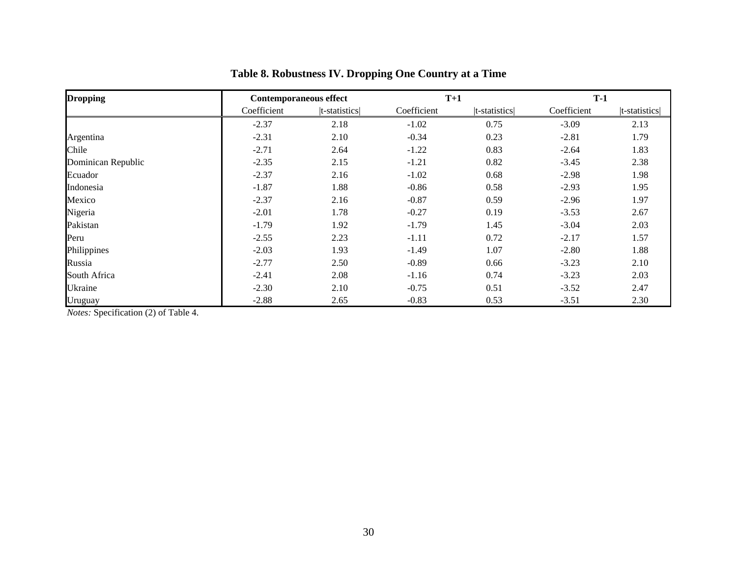| <b>Dropping</b>    | <b>Contemporaneous effect</b> |              | $T+1$       |                  | $T-1$       |                      |
|--------------------|-------------------------------|--------------|-------------|------------------|-------------|----------------------|
|                    | Coefficient                   | t-statistics | Coefficient | $ t-statistics $ | Coefficient | $ t$ -statistics $ $ |
|                    | $-2.37$                       | 2.18         | $-1.02$     | 0.75             | $-3.09$     | 2.13                 |
| Argentina          | $-2.31$                       | 2.10         | $-0.34$     | 0.23             | $-2.81$     | 1.79                 |
| Chile              | $-2.71$                       | 2.64         | $-1.22$     | 0.83             | $-2.64$     | 1.83                 |
| Dominican Republic | $-2.35$                       | 2.15         | $-1.21$     | 0.82             | $-3.45$     | 2.38                 |
| Ecuador            | $-2.37$                       | 2.16         | $-1.02$     | 0.68             | $-2.98$     | 1.98                 |
| Indonesia          | $-1.87$                       | 1.88         | $-0.86$     | 0.58             | $-2.93$     | 1.95                 |
| Mexico             | $-2.37$                       | 2.16         | $-0.87$     | 0.59             | $-2.96$     | 1.97                 |
| Nigeria            | $-2.01$                       | 1.78         | $-0.27$     | 0.19             | $-3.53$     | 2.67                 |
| Pakistan           | $-1.79$                       | 1.92         | $-1.79$     | 1.45             | $-3.04$     | 2.03                 |
| Peru               | $-2.55$                       | 2.23         | $-1.11$     | 0.72             | $-2.17$     | 1.57                 |
| Philippines        | $-2.03$                       | 1.93         | $-1.49$     | 1.07             | $-2.80$     | 1.88                 |
| Russia             | $-2.77$                       | 2.50         | $-0.89$     | 0.66             | $-3.23$     | 2.10                 |
| South Africa       | $-2.41$                       | 2.08         | $-1.16$     | 0.74             | $-3.23$     | 2.03                 |
| Ukraine            | $-2.30$                       | 2.10         | $-0.75$     | 0.51             | $-3.52$     | 2.47                 |
| Uruguay            | $-2.88$                       | 2.65         | $-0.83$     | 0.53             | $-3.51$     | 2.30                 |

## **Table 8. Robustness IV. Dropping One Country at a Time**

*Notes:* Specification (2) of Table 4.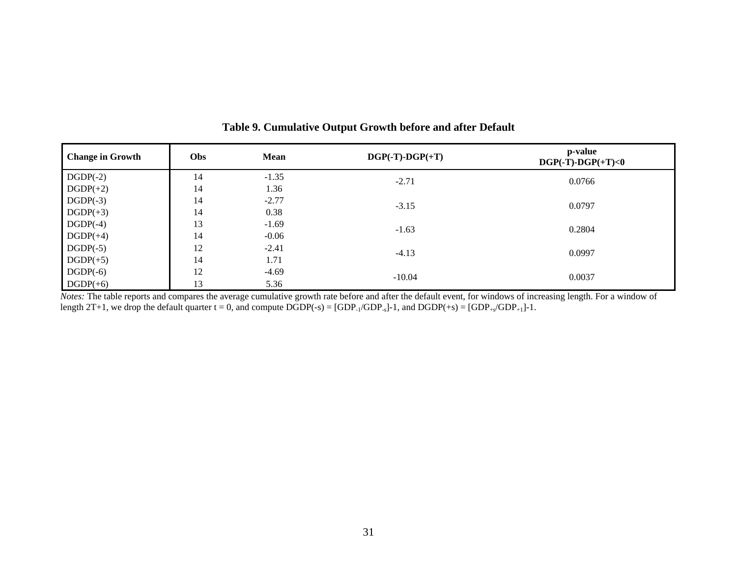| <b>Change in Growth</b> | Obs | <b>Mean</b> | $DGP(-T)-DGP(+T)$ | p-value<br>$DGP(-T)-DGP(+T)<0$ |  |
|-------------------------|-----|-------------|-------------------|--------------------------------|--|
| $DGDP(-2)$              | 14  | $-1.35$     | $-2.71$           | 0.0766                         |  |
| $DGDP(+2)$              | 14  | 1.36        |                   |                                |  |
| $DGDP(-3)$              | 14  | $-2.77$     | $-3.15$           | 0.0797                         |  |
| $DGDP(+3)$              | 14  | 0.38        |                   |                                |  |
| $DGDP(-4)$              | 13  | $-1.69$     |                   | 0.2804                         |  |
| $DGDP(+4)$              | 14  | $-0.06$     | $-1.63$           |                                |  |
| $DGDP(-5)$              | 12  | $-2.41$     |                   |                                |  |
| $DGDP(+5)$              | 14  | 1.71        | $-4.13$           | 0.0997                         |  |
| $DGDP(-6)$              | 12  | $-4.69$     |                   |                                |  |
| $DGDP(+6)$              | 13  | 5.36        | $-10.04$          | 0.0037                         |  |

**Table 9. Cumulative Output Growth before and after Default** 

*Notes*: The table reports and compares the average cumulative growth rate before and after the default event, for windows of increasing length. For a window of length 2T+1, we drop the default quarter t = 0, and compute  $DGDP(-s) = [GDP_{-1}/GDP_{-s}]-1$ , and  $DGDP(+s) = [GDP_{+s}/GDP_{+1}]-1$ .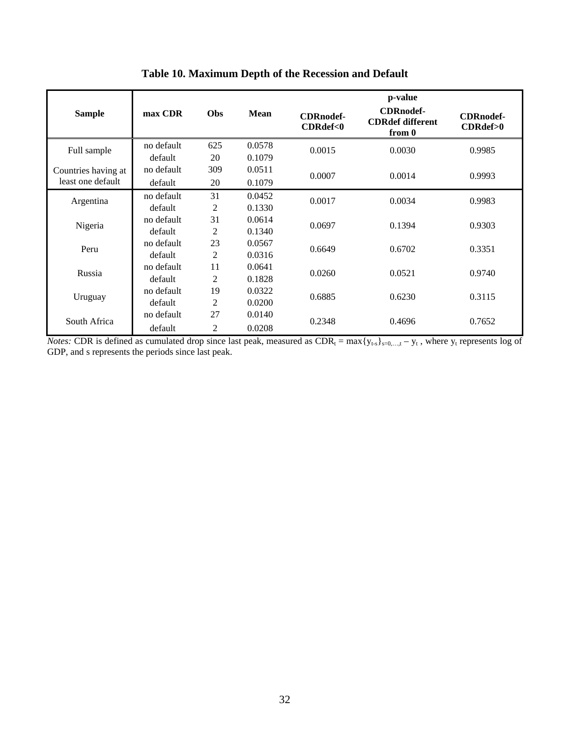| <b>Sample</b>       | max CDR    | <b>Obs</b>     | <b>Mean</b> | <b>CDRnodef-</b><br>CDRdef<0 | p-value<br><b>CDRnodef-</b><br><b>CDRdef different</b><br>from 0 | <b>CDRnodef-</b><br>CDRdef<0 |  |
|---------------------|------------|----------------|-------------|------------------------------|------------------------------------------------------------------|------------------------------|--|
| Full sample         | no default | 625            | 0.0578      | 0.0015                       | 0.0030                                                           | 0.9985                       |  |
|                     | default    | 20             | 0.1079      |                              |                                                                  |                              |  |
| Countries having at | no default | 309            | 0.0511      | 0.0007                       | 0.0014                                                           | 0.9993                       |  |
| least one default   | default    | 20             | 0.1079      |                              |                                                                  |                              |  |
| Argentina           | no default | 31             | 0.0452      | 0.0017                       | 0.0034                                                           | 0.9983                       |  |
|                     | default    | $\overline{2}$ | 0.1330      |                              |                                                                  |                              |  |
| Nigeria             | no default | 31             | 0.0614      | 0.0697                       | 0.1394                                                           | 0.9303                       |  |
|                     | default    | $\overline{c}$ | 0.1340      |                              |                                                                  |                              |  |
| Peru                | no default | 23             | 0.0567      | 0.6649                       | 0.6702                                                           | 0.3351                       |  |
|                     | default    | $\overline{2}$ | 0.0316      |                              |                                                                  |                              |  |
| Russia              | no default | 11             | 0.0641      | 0.0260                       | 0.0521                                                           | 0.9740                       |  |
|                     | default    | $\overline{2}$ | 0.1828      |                              |                                                                  |                              |  |
| Uruguay             | no default | 19             | 0.0322      | 0.6885                       | 0.6230                                                           | 0.3115                       |  |
|                     | default    | $\overline{2}$ | 0.0200      |                              |                                                                  |                              |  |
| South Africa        | no default | 27             | 0.0140      | 0.2348                       | 0.4696                                                           | 0.7652                       |  |
|                     | default    | $\overline{2}$ | 0.0208      |                              |                                                                  |                              |  |

**Table 10. Maximum Depth of the Recession and Default** 

*Notes:* CDR is defined as cumulated drop since last peak, measured as  $CDR_t = max{y_{t-s}}_{s=0,...,t} - y_t$ , where  $y_t$  represents log of GDP, and s represents the periods since last peak.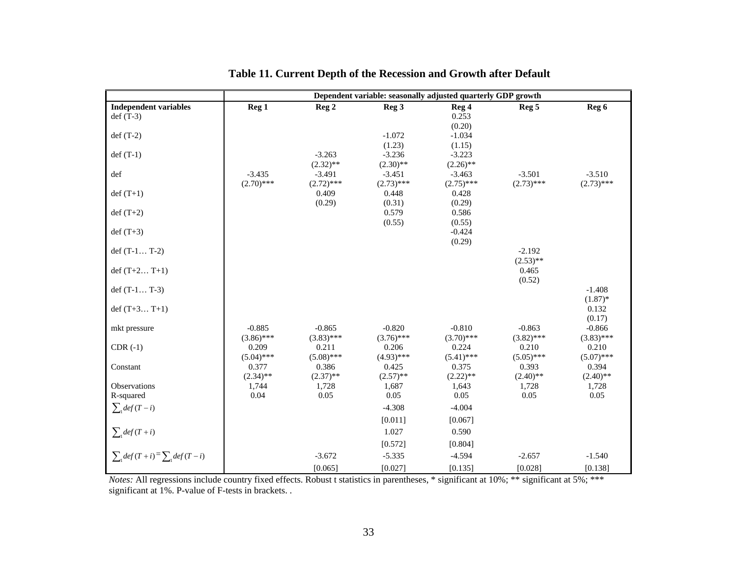|                                             | Dependent variable: seasonally adjusted quarterly GDP growth |                         |                         |                         |                  |              |  |  |
|---------------------------------------------|--------------------------------------------------------------|-------------------------|-------------------------|-------------------------|------------------|--------------|--|--|
| <b>Independent variables</b>                | Reg <sub>1</sub>                                             | Reg <sub>2</sub>        | Reg <sub>3</sub>        | Reg 4                   | Reg <sub>5</sub> | Reg 6        |  |  |
| def $(T-3)$                                 |                                                              |                         |                         | 0.253                   |                  |              |  |  |
|                                             |                                                              |                         |                         | (0.20)                  |                  |              |  |  |
| def $(T-2)$                                 |                                                              |                         | $-1.072$                | $-1.034$                |                  |              |  |  |
|                                             |                                                              |                         | (1.23)                  | (1.15)                  |                  |              |  |  |
| $def(T-1)$                                  |                                                              | $-3.263$<br>$(2.32)$ ** | $-3.236$<br>$(2.30)$ ** | $-3.223$<br>$(2.26)$ ** |                  |              |  |  |
| def                                         | $-3.435$                                                     | $-3.491$                | $-3.451$                | $-3.463$                | $-3.501$         | $-3.510$     |  |  |
|                                             | $(2.70)$ ***                                                 | $(2.72)$ ***            | $(2.73)$ ***            | $(2.75)$ ***            | $(2.73)$ ***     | $(2.73)$ *** |  |  |
| $def(T+1)$                                  |                                                              | 0.409                   | 0.448                   | 0.428                   |                  |              |  |  |
|                                             |                                                              | (0.29)                  | (0.31)                  | (0.29)                  |                  |              |  |  |
| $def(T+2)$                                  |                                                              |                         | 0.579                   | 0.586                   |                  |              |  |  |
|                                             |                                                              |                         | (0.55)                  | (0.55)                  |                  |              |  |  |
| $def(T+3)$                                  |                                                              |                         |                         | $-0.424$                |                  |              |  |  |
|                                             |                                                              |                         |                         | (0.29)                  |                  |              |  |  |
| def $(T-1T-2)$                              |                                                              |                         |                         |                         | $-2.192$         |              |  |  |
|                                             |                                                              |                         |                         |                         | $(2.53)$ **      |              |  |  |
| def $(T+2 T+1)$                             |                                                              |                         |                         |                         | 0.465            |              |  |  |
| def $(T-1T-3)$                              |                                                              |                         |                         |                         | (0.52)           | $-1.408$     |  |  |
|                                             |                                                              |                         |                         |                         |                  | $(1.87)$ *   |  |  |
| def $(T+3 T+1)$                             |                                                              |                         |                         |                         |                  | 0.132        |  |  |
|                                             |                                                              |                         |                         |                         |                  | (0.17)       |  |  |
| mkt pressure                                | $-0.885$                                                     | $-0.865$                | $-0.820$                | $-0.810$                | $-0.863$         | $-0.866$     |  |  |
|                                             | $(3.86)$ ***                                                 | $(3.83)$ ***            | $(3.76)$ ***            | $(3.70)$ ***            | $(3.82)$ ***     | $(3.83)$ *** |  |  |
| $CDR(-1)$                                   | 0.209                                                        | 0.211                   | 0.206                   | 0.224                   | 0.210            | 0.210        |  |  |
|                                             | $(5.04)$ ***                                                 | $(5.08)$ ***            | $(4.93)$ ***            | $(5.41)$ ***            | $(5.05)$ ***     | $(5.07)$ *** |  |  |
| Constant                                    | 0.377                                                        | 0.386                   | 0.425                   | 0.375                   | 0.393            | 0.394        |  |  |
|                                             | $(2.34)$ **                                                  | $(2.37)$ **             | $(2.57)$ **             | $(2.22)$ **             | $(2.40)$ **      | $(2.40)$ **  |  |  |
| Observations                                | 1,744                                                        | 1,728                   | 1,687                   | 1,643<br>0.05           | 1,728            | 1,728        |  |  |
| R-squared                                   | 0.04                                                         | 0.05                    | 0.05                    |                         | 0.05             | 0.05         |  |  |
| $\sum_i def(T - i)$                         |                                                              |                         | $-4.308$                | $-4.004$                |                  |              |  |  |
|                                             |                                                              |                         | [0.011]                 | [0.067]                 |                  |              |  |  |
| $\sum_i def(T+i)$                           |                                                              |                         | 1.027                   | 0.590                   |                  |              |  |  |
|                                             |                                                              |                         | [0.572]                 | [0.804]                 |                  |              |  |  |
| $\sum_{i} def(T + i) = \sum_{i} def(T - i)$ |                                                              | $-3.672$                | $-5.335$                | $-4.594$                | $-2.657$         | $-1.540$     |  |  |
|                                             |                                                              | [0.065]                 | [0.027]                 | [0.135]                 | [0.028]          | [0.138]      |  |  |
|                                             |                                                              |                         |                         |                         |                  |              |  |  |

## **Table 11. Current Depth of the Recession and Growth after Default**

*Notes:* All regressions include country fixed effects. Robust t statistics in parentheses, \* significant at 10%; \*\* significant at 5%; \*\*\* significant at 1%. P-value of F-tests in brackets. .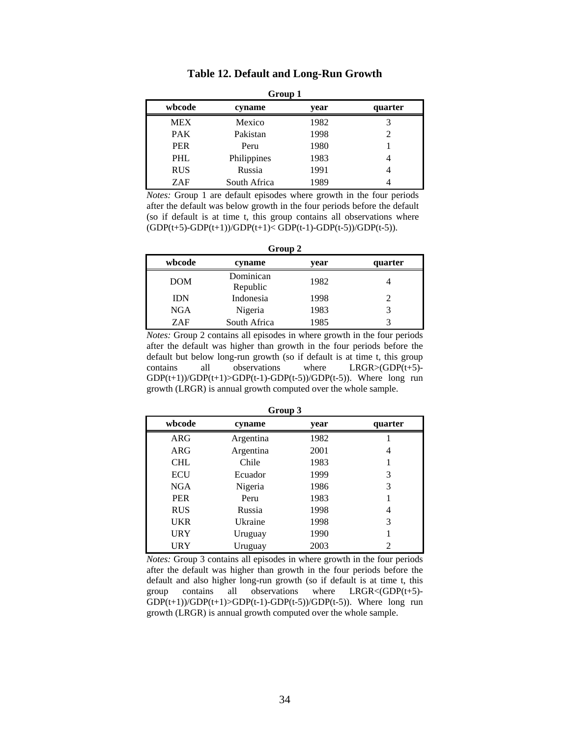| Group 1    |              |      |                |
|------------|--------------|------|----------------|
| wbcode     | cyname       | vear | quarter        |
| <b>MEX</b> | Mexico       | 1982 | 3              |
| <b>PAK</b> | Pakistan     | 1998 | $\mathfrak{D}$ |
| <b>PER</b> | Peru         | 1980 |                |
| <b>PHL</b> | Philippines  | 1983 | 4              |
| <b>RUS</b> | Russia       | 1991 | 4              |
| <b>ZAF</b> | South Africa | 1989 |                |

*Notes:* Group 1 are default episodes where growth in the four periods after the default was below growth in the four periods before the default (so if default is at time t, this group contains all observations where  $(GDP(t+5)-GDP(t+1))/GDP(t+1) < GDP(t-1)-GDP(t-5))/GDP(t-5)$ .

| Group 2    |                       |      |         |
|------------|-----------------------|------|---------|
| wbcode     | cyname                | vear | quarter |
| <b>DOM</b> | Dominican<br>Republic | 1982 |         |
| <b>IDN</b> | Indonesia             | 1998 | 2       |
| NGA        | Nigeria               | 1983 |         |
| ZAF        | South Africa          | 1985 |         |

*Notes:* Group 2 contains all episodes in where growth in the four periods after the default was higher than growth in the four periods before the default but below long-run growth (so if default is at time t, this group contains all observations where LRGR>(GDP(t+5)-  $GDP(t+1)/GDP(t+1) > GDP(t-1) - GDP(t-5)/GDP(t-5)$ . Where long run growth (LRGR) is annual growth computed over the whole sample.

| Group 5    |           |      |                             |  |
|------------|-----------|------|-----------------------------|--|
| wbcode     | cyname    | year | quarter                     |  |
| ARG        | Argentina | 1982 |                             |  |
| <b>ARG</b> | Argentina | 2001 | 4                           |  |
| <b>CHL</b> | Chile     | 1983 |                             |  |
| <b>ECU</b> | Ecuador   | 1999 | 3                           |  |
| <b>NGA</b> | Nigeria   | 1986 | 3                           |  |
| <b>PER</b> | Peru      | 1983 |                             |  |
| <b>RUS</b> | Russia    | 1998 | 4                           |  |
| <b>UKR</b> | Ukraine   | 1998 | 3                           |  |
| <b>URY</b> | Uruguay   | 1990 |                             |  |
| <b>URY</b> | Uruguay   | 2003 | $\mathcal{D}_{\mathcal{L}}$ |  |

**Group 3** 

*Notes:* Group 3 contains all episodes in where growth in the four periods after the default was higher than growth in the four periods before the default and also higher long-run growth (so if default is at time t, this group contains all observations where  $LRGR < (GDP(t+5))$ - $GDP(t+1)/GDP(t+1) > GDP(t-1) - GDP(t-5)/GDP(t-5)$ . Where long run growth (LRGR) is annual growth computed over the whole sample.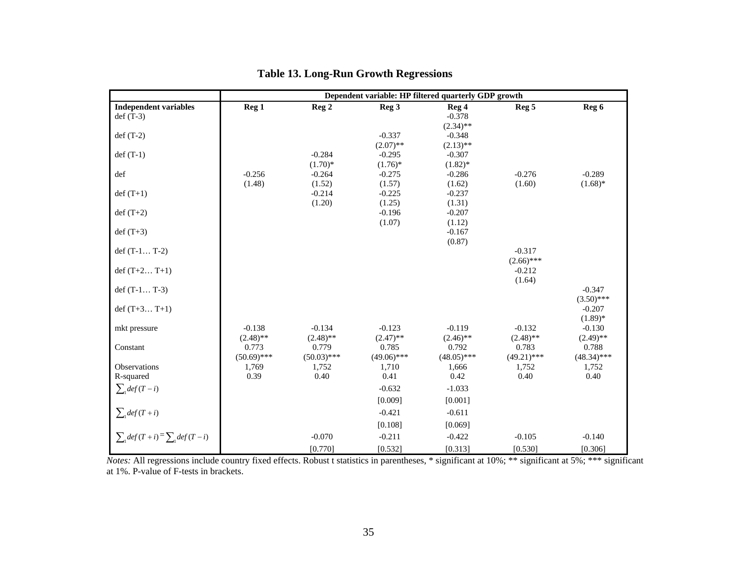|                                     |                  | Dependent variable: HP filtered quarterly GDP growth |                        |                        |                    |               |
|-------------------------------------|------------------|------------------------------------------------------|------------------------|------------------------|--------------------|---------------|
| <b>Independent variables</b>        | Reg <sub>1</sub> | Reg <sub>2</sub>                                     | Reg <sub>3</sub>       | Reg 4                  | Reg <sub>5</sub>   | Reg 6         |
| $def(T-3)$                          |                  |                                                      |                        | $-0.378$               |                    |               |
|                                     |                  |                                                      |                        | $(2.34)$ **            |                    |               |
| $def(T-2)$                          |                  |                                                      | $-0.337$               | $-0.348$               |                    |               |
|                                     |                  |                                                      | $(2.07)$ **            | $(2.13)$ **            |                    |               |
| $def(T-1)$                          |                  | $-0.284$<br>$(1.70)*$                                | $-0.295$<br>$(1.76)^*$ | $-0.307$<br>$(1.82)$ * |                    |               |
| def                                 | $-0.256$         | $-0.264$                                             | $-0.275$               | $-0.286$               | $-0.276$           | $-0.289$      |
|                                     | (1.48)           | (1.52)                                               | (1.57)                 | (1.62)                 | (1.60)             | $(1.68)$ *    |
| $def(T+1)$                          |                  | $-0.214$                                             | $-0.225$               | $-0.237$               |                    |               |
|                                     |                  | (1.20)                                               | (1.25)                 | (1.31)                 |                    |               |
| $def(T+2)$                          |                  |                                                      | $-0.196$               | $-0.207$               |                    |               |
|                                     |                  |                                                      | (1.07)                 | (1.12)                 |                    |               |
| $def(T+3)$                          |                  |                                                      |                        | $-0.167$               |                    |               |
|                                     |                  |                                                      |                        | (0.87)                 |                    |               |
| def $(T-1 T-2)$                     |                  |                                                      |                        |                        | $-0.317$           |               |
|                                     |                  |                                                      |                        |                        | $(2.66)$ ***       |               |
| def $(T+2 T+1)$                     |                  |                                                      |                        |                        | $-0.212$<br>(1.64) |               |
| def $(T-1 T-3)$                     |                  |                                                      |                        |                        |                    | $-0.347$      |
|                                     |                  |                                                      |                        |                        |                    | $(3.50)$ ***  |
| def $(T+3 T+1)$                     |                  |                                                      |                        |                        |                    | $-0.207$      |
|                                     |                  |                                                      |                        |                        |                    | $(1.89)$ *    |
| mkt pressure                        | $-0.138$         | $-0.134$                                             | $-0.123$               | $-0.119$               | $-0.132$           | $-0.130$      |
|                                     | $(2.48)$ **      | $(2.48)$ **                                          | $(2.47)$ **            | $(2.46)$ **            | $(2.48)$ **        | $(2.49)$ **   |
| Constant                            | 0.773            | 0.779                                                | 0.785                  | 0.792                  | 0.783              | 0.788         |
|                                     | $(50.69)$ ***    | $(50.03)$ ***                                        | $(49.06)$ ***          | $(48.05)$ ***          | $(49.21)$ ***      | $(48.34)$ *** |
| Observations                        | 1,769            | 1,752                                                | 1,710                  | 1,666                  | 1,752              | 1,752         |
| R-squared                           | 0.39             | 0.40                                                 | 0.41                   | 0.42                   | 0.40               | 0.40          |
| $\sum_i def(T - i)$                 |                  |                                                      | $-0.632$               | $-1.033$               |                    |               |
|                                     |                  |                                                      | [0.009]                | [0.001]                |                    |               |
| $\sum_i def(T+i)$                   |                  |                                                      | $-0.421$               | $-0.611$               |                    |               |
|                                     |                  |                                                      | [0.108]                | [0.069]                |                    |               |
| $\sum_i def(T+i) = \sum_i def(T-i)$ |                  | $-0.070$                                             | $-0.211$               | $-0.422$               | $-0.105$           | $-0.140$      |
|                                     |                  | [0.770]                                              | [0.532]                | [0.313]                | [0.530]            | [0.306]       |
|                                     |                  |                                                      |                        |                        |                    |               |

## **Table 13. Long-Run Growth Regressions**

*Notes:* All regressions include country fixed effects. Robust t statistics in parentheses, \* significant at 10%; \*\*\* significant at 5%; \*\*\* significant at 1%. P-value of F-tests in brackets.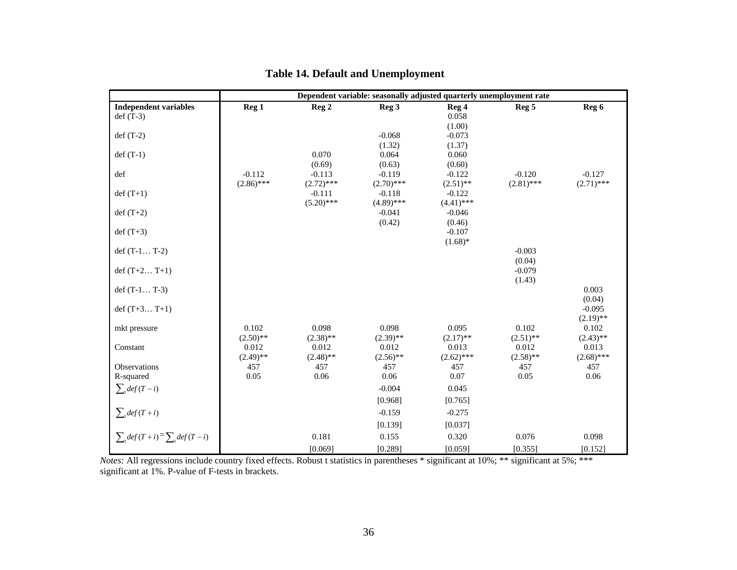| Reg <sub>2</sub><br><b>Independent variables</b><br>Reg <sub>1</sub><br>Reg <sub>3</sub><br>Reg 4<br>Reg <sub>5</sub><br>Reg 6<br>$def(T-3)$<br>0.058<br>(1.00)<br>$-0.068$<br>$def(T-2)$<br>$-0.073$<br>(1.32)<br>(1.37)<br>0.070<br>0.064<br>0.060<br>$def(T-1)$<br>(0.69)<br>(0.63)<br>(0.60)<br>$-0.120$<br>$-0.127$<br>def<br>$-0.112$<br>$-0.113$<br>$-0.119$<br>$-0.122$<br>$(2.86)$ ***<br>$(2.71)$ ***<br>$(2.72)$ ***<br>$(2.70)$ ***<br>$(2.51)$ **<br>$(2.81)$ ***<br>$def(T+1)$<br>$-0.111$<br>$-0.122$<br>$-0.118$<br>$(5.20)$ ***<br>$(4.89)$ ***<br>$(4.41)$ ***<br>$def(T+2)$<br>$-0.041$<br>$-0.046$<br>(0.42)<br>(0.46)<br>$-0.107$<br>$def(T+3)$<br>$(1.68)$ *<br>$-0.003$<br>def $(T-1 T-2)$<br>(0.04)<br>$-0.079$<br>def $(T+2 T+1)$<br>(1.43)<br>def $(T-1 T-3)$<br>0.003<br>(0.04)<br>$-0.095$<br>def $(T+3 T+1)$ |
|-------------------------------------------------------------------------------------------------------------------------------------------------------------------------------------------------------------------------------------------------------------------------------------------------------------------------------------------------------------------------------------------------------------------------------------------------------------------------------------------------------------------------------------------------------------------------------------------------------------------------------------------------------------------------------------------------------------------------------------------------------------------------------------------------------------------------------------------|
|                                                                                                                                                                                                                                                                                                                                                                                                                                                                                                                                                                                                                                                                                                                                                                                                                                           |
|                                                                                                                                                                                                                                                                                                                                                                                                                                                                                                                                                                                                                                                                                                                                                                                                                                           |
|                                                                                                                                                                                                                                                                                                                                                                                                                                                                                                                                                                                                                                                                                                                                                                                                                                           |
|                                                                                                                                                                                                                                                                                                                                                                                                                                                                                                                                                                                                                                                                                                                                                                                                                                           |
|                                                                                                                                                                                                                                                                                                                                                                                                                                                                                                                                                                                                                                                                                                                                                                                                                                           |
|                                                                                                                                                                                                                                                                                                                                                                                                                                                                                                                                                                                                                                                                                                                                                                                                                                           |
|                                                                                                                                                                                                                                                                                                                                                                                                                                                                                                                                                                                                                                                                                                                                                                                                                                           |
|                                                                                                                                                                                                                                                                                                                                                                                                                                                                                                                                                                                                                                                                                                                                                                                                                                           |
|                                                                                                                                                                                                                                                                                                                                                                                                                                                                                                                                                                                                                                                                                                                                                                                                                                           |
|                                                                                                                                                                                                                                                                                                                                                                                                                                                                                                                                                                                                                                                                                                                                                                                                                                           |
|                                                                                                                                                                                                                                                                                                                                                                                                                                                                                                                                                                                                                                                                                                                                                                                                                                           |
|                                                                                                                                                                                                                                                                                                                                                                                                                                                                                                                                                                                                                                                                                                                                                                                                                                           |
|                                                                                                                                                                                                                                                                                                                                                                                                                                                                                                                                                                                                                                                                                                                                                                                                                                           |
|                                                                                                                                                                                                                                                                                                                                                                                                                                                                                                                                                                                                                                                                                                                                                                                                                                           |
|                                                                                                                                                                                                                                                                                                                                                                                                                                                                                                                                                                                                                                                                                                                                                                                                                                           |
|                                                                                                                                                                                                                                                                                                                                                                                                                                                                                                                                                                                                                                                                                                                                                                                                                                           |
|                                                                                                                                                                                                                                                                                                                                                                                                                                                                                                                                                                                                                                                                                                                                                                                                                                           |
|                                                                                                                                                                                                                                                                                                                                                                                                                                                                                                                                                                                                                                                                                                                                                                                                                                           |
|                                                                                                                                                                                                                                                                                                                                                                                                                                                                                                                                                                                                                                                                                                                                                                                                                                           |
|                                                                                                                                                                                                                                                                                                                                                                                                                                                                                                                                                                                                                                                                                                                                                                                                                                           |
| $(2.19)$ **<br>0.102<br>0.102<br>0.098<br>0.098<br>0.095<br>0.102<br>mkt pressure                                                                                                                                                                                                                                                                                                                                                                                                                                                                                                                                                                                                                                                                                                                                                         |
| $(2.50)$ **<br>$(2.38)$ **<br>$(2.39)$ **<br>$(2.51)$ **<br>$(2.17)$ **<br>$(2.43)$ **                                                                                                                                                                                                                                                                                                                                                                                                                                                                                                                                                                                                                                                                                                                                                    |
| 0.012<br>0.012<br>0.012<br>0.013<br>0.012<br>0.013<br>Constant                                                                                                                                                                                                                                                                                                                                                                                                                                                                                                                                                                                                                                                                                                                                                                            |
| $(2.62)$ ***<br>$(2.58)$ **<br>$(2.68)$ ***<br>$(2.49)$ **<br>$(2.48)$ **<br>$(2.56)$ **                                                                                                                                                                                                                                                                                                                                                                                                                                                                                                                                                                                                                                                                                                                                                  |
| 457<br>Observations<br>457<br>457<br>457<br>457<br>457                                                                                                                                                                                                                                                                                                                                                                                                                                                                                                                                                                                                                                                                                                                                                                                    |
| 0.05<br>0.06<br>0.06<br>0.07<br>0.05<br>0.06<br>R-squared                                                                                                                                                                                                                                                                                                                                                                                                                                                                                                                                                                                                                                                                                                                                                                                 |
| $\sum_i def(T - i)$<br>$-0.004$<br>0.045                                                                                                                                                                                                                                                                                                                                                                                                                                                                                                                                                                                                                                                                                                                                                                                                  |
| [0.968]<br>[0.765]                                                                                                                                                                                                                                                                                                                                                                                                                                                                                                                                                                                                                                                                                                                                                                                                                        |
| $\sum_i def(T+i)$<br>$-0.159$<br>$-0.275$                                                                                                                                                                                                                                                                                                                                                                                                                                                                                                                                                                                                                                                                                                                                                                                                 |
| [0.037]<br>[0.139]                                                                                                                                                                                                                                                                                                                                                                                                                                                                                                                                                                                                                                                                                                                                                                                                                        |
| $\sum_i def(T+i) = \sum_i def(T-i)$<br>0.181<br>0.155<br>0.320<br>0.076<br>0.098                                                                                                                                                                                                                                                                                                                                                                                                                                                                                                                                                                                                                                                                                                                                                          |
| [0.069]<br>[0.289]<br>[0.059]<br>[0.355]<br>[0.152]                                                                                                                                                                                                                                                                                                                                                                                                                                                                                                                                                                                                                                                                                                                                                                                       |

## **Table 14. Default and Unemployment**

*Notes:* All regressions include country fixed effects. Robust t statistics in parentheses \* significant at 10%; \*\*\* significant at 5%; \*\*\* significant at 1%. P-value of F-tests in brackets.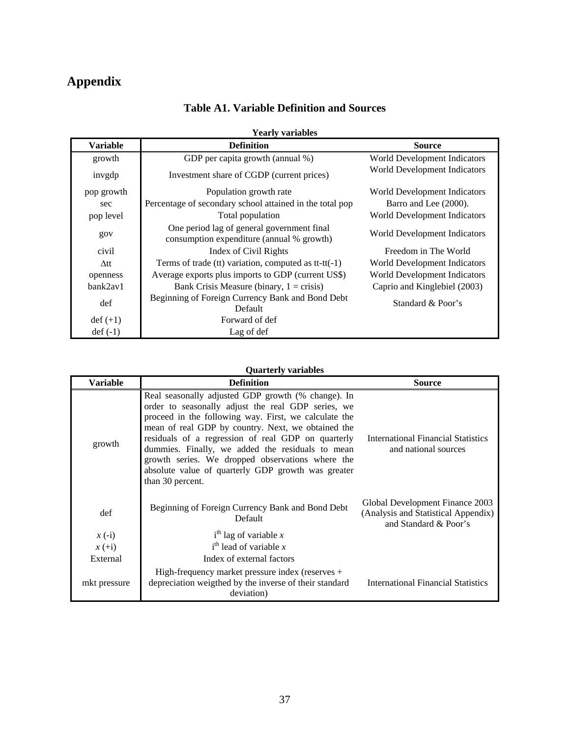# **Appendix**

| <b>Yearly variables</b> |                                                                                         |                              |  |  |
|-------------------------|-----------------------------------------------------------------------------------------|------------------------------|--|--|
| Variable                | <b>Definition</b>                                                                       | <b>Source</b>                |  |  |
| growth                  | GDP per capita growth (annual %)                                                        | World Development Indicators |  |  |
| invgdp                  | Investment share of CGDP (current prices)                                               | World Development Indicators |  |  |
| pop growth              | Population growth rate                                                                  | World Development Indicators |  |  |
| sec                     | Percentage of secondary school attained in the total pop                                | Barro and Lee (2000).        |  |  |
| pop level               | Total population                                                                        | World Development Indicators |  |  |
| gov                     | One period lag of general government final<br>consumption expenditure (annual % growth) | World Development Indicators |  |  |
| civil                   | Index of Civil Rights                                                                   | Freedom in The World         |  |  |
| Att                     | Terms of trade (tt) variation, computed as $tt-tt(-1)$                                  | World Development Indicators |  |  |
| openness                | Average exports plus imports to GDP (current US\$)                                      | World Development Indicators |  |  |
| bank2av1                | Bank Crisis Measure (binary, $1 =$ crisis)                                              | Caprio and Kinglebiel (2003) |  |  |
| def                     | Beginning of Foreign Currency Bank and Bond Debt<br>Default                             | Standard & Poor's            |  |  |
| $def (+1)$              | Forward of def                                                                          |                              |  |  |
| $def(-1)$               | Lag of def                                                                              |                              |  |  |

## **Table A1. Variable Definition and Sources**

### **Quarterly variables**

| Variable     | <b>Definition</b>                                                                                                                                                                                                                                                                                                                                                                                                                                               | <b>Source</b>                                                                                   |
|--------------|-----------------------------------------------------------------------------------------------------------------------------------------------------------------------------------------------------------------------------------------------------------------------------------------------------------------------------------------------------------------------------------------------------------------------------------------------------------------|-------------------------------------------------------------------------------------------------|
| growth       | Real seasonally adjusted GDP growth (% change). In<br>order to seasonally adjust the real GDP series, we<br>proceed in the following way. First, we calculate the<br>mean of real GDP by country. Next, we obtained the<br>residuals of a regression of real GDP on quarterly<br>dummies. Finally, we added the residuals to mean<br>growth series. We dropped observations where the<br>absolute value of quarterly GDP growth was greater<br>than 30 percent. | International Financial Statistics<br>and national sources                                      |
| def          | Beginning of Foreign Currency Bank and Bond Debt<br>Default                                                                                                                                                                                                                                                                                                                                                                                                     | Global Development Finance 2003<br>(Analysis and Statistical Appendix)<br>and Standard & Poor's |
| $x(-i)$      | $ith$ lag of variable x                                                                                                                                                                                                                                                                                                                                                                                                                                         |                                                                                                 |
| $x (+i)$     | $ith$ lead of variable x                                                                                                                                                                                                                                                                                                                                                                                                                                        |                                                                                                 |
| External     | Index of external factors                                                                                                                                                                                                                                                                                                                                                                                                                                       |                                                                                                 |
| mkt pressure | High-frequency market pressure index (reserves +<br>depreciation weigthed by the inverse of their standard<br>deviation)                                                                                                                                                                                                                                                                                                                                        | <b>International Financial Statistics</b>                                                       |